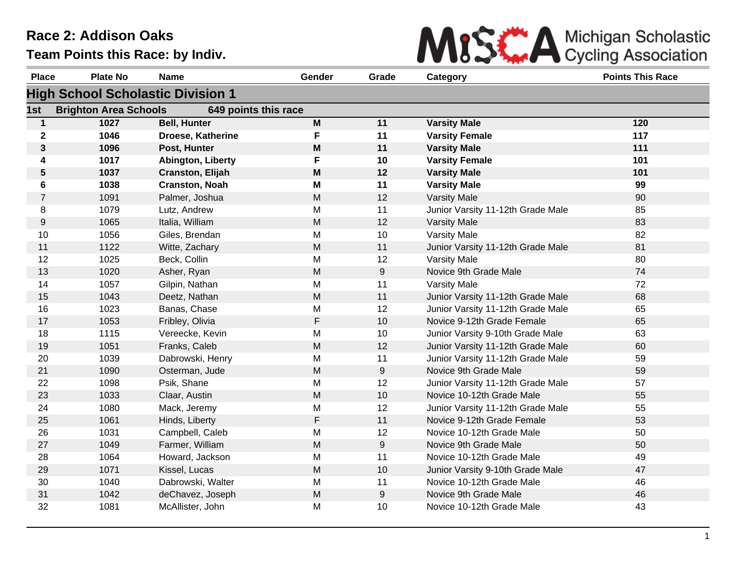

| <b>Place</b>   | <b>Plate No</b>              | <b>Name</b>                              | Gender                                                                                | Grade            | Category                          | <b>Points This Race</b> |
|----------------|------------------------------|------------------------------------------|---------------------------------------------------------------------------------------|------------------|-----------------------------------|-------------------------|
|                |                              | <b>High School Scholastic Division 1</b> |                                                                                       |                  |                                   |                         |
| 1st            | <b>Brighton Area Schools</b> | 649 points this race                     |                                                                                       |                  |                                   |                         |
| 1              | 1027                         | <b>Bell, Hunter</b>                      | M                                                                                     | 11               | <b>Varsity Male</b>               | 120                     |
| $\mathbf 2$    | 1046                         | Droese, Katherine                        | F                                                                                     | 11               | <b>Varsity Female</b>             | 117                     |
| 3              | 1096                         | Post, Hunter                             | M                                                                                     | 11               | <b>Varsity Male</b>               | 111                     |
| 4              | 1017                         | Abington, Liberty                        | F                                                                                     | 10               | <b>Varsity Female</b>             | 101                     |
| 5              | 1037                         | Cranston, Elijah                         | M                                                                                     | 12               | <b>Varsity Male</b>               | 101                     |
| 6              | 1038                         | <b>Cranston, Noah</b>                    | M                                                                                     | 11               | <b>Varsity Male</b>               | 99                      |
| $\overline{7}$ | 1091                         | Palmer, Joshua                           | M                                                                                     | 12               | <b>Varsity Male</b>               | 90                      |
| 8              | 1079                         | Lutz, Andrew                             | M                                                                                     | 11               | Junior Varsity 11-12th Grade Male | 85                      |
| 9              | 1065                         | Italia, William                          | M                                                                                     | 12               | <b>Varsity Male</b>               | 83                      |
| 10             | 1056                         | Giles, Brendan                           | M                                                                                     | 10               | <b>Varsity Male</b>               | 82                      |
| 11             | 1122                         | Witte, Zachary                           | M                                                                                     | 11               | Junior Varsity 11-12th Grade Male | 81                      |
| 12             | 1025                         | Beck, Collin                             | M                                                                                     | 12               | <b>Varsity Male</b>               | 80                      |
| 13             | 1020                         | Asher, Ryan                              | M                                                                                     | 9                | Novice 9th Grade Male             | 74                      |
| 14             | 1057                         | Gilpin, Nathan                           | M                                                                                     | 11               | <b>Varsity Male</b>               | 72                      |
| 15             | 1043                         | Deetz, Nathan                            | $\mathsf{M}% _{T}=\mathsf{M}_{T}\!\left( a,b\right) ,\ \mathsf{M}_{T}=\mathsf{M}_{T}$ | 11               | Junior Varsity 11-12th Grade Male | 68                      |
| 16             | 1023                         | Banas, Chase                             | М                                                                                     | 12               | Junior Varsity 11-12th Grade Male | 65                      |
| 17             | 1053                         | Fribley, Olivia                          | F                                                                                     | 10               | Novice 9-12th Grade Female        | 65                      |
| 18             | 1115                         | Vereecke, Kevin                          | M                                                                                     | 10               | Junior Varsity 9-10th Grade Male  | 63                      |
| 19             | 1051                         | Franks, Caleb                            | ${\sf M}$                                                                             | 12               | Junior Varsity 11-12th Grade Male | 60                      |
| 20             | 1039                         | Dabrowski, Henry                         | M                                                                                     | 11               | Junior Varsity 11-12th Grade Male | 59                      |
| 21             | 1090                         | Osterman, Jude                           | M                                                                                     | 9                | Novice 9th Grade Male             | 59                      |
| 22             | 1098                         | Psik, Shane                              | M                                                                                     | 12               | Junior Varsity 11-12th Grade Male | 57                      |
| 23             | 1033                         | Claar, Austin                            | M                                                                                     | 10               | Novice 10-12th Grade Male         | 55                      |
| 24             | 1080                         | Mack, Jeremy                             | M                                                                                     | 12               | Junior Varsity 11-12th Grade Male | 55                      |
| 25             | 1061                         | Hinds, Liberty                           | $\mathsf F$                                                                           | 11               | Novice 9-12th Grade Female        | 53                      |
| 26             | 1031                         | Campbell, Caleb                          | M                                                                                     | 12               | Novice 10-12th Grade Male         | 50                      |
| 27             | 1049                         | Farmer, William                          | M                                                                                     | $\boldsymbol{9}$ | Novice 9th Grade Male             | 50                      |
| 28             | 1064                         | Howard, Jackson                          | M                                                                                     | 11               | Novice 10-12th Grade Male         | 49                      |
| 29             | 1071                         | Kissel, Lucas                            | M                                                                                     | $10$             | Junior Varsity 9-10th Grade Male  | 47                      |
| 30             | 1040                         | Dabrowski, Walter                        | M                                                                                     | 11               | Novice 10-12th Grade Male         | 46                      |
| 31             | 1042                         | deChavez, Joseph                         | M                                                                                     | 9                | Novice 9th Grade Male             | 46                      |
| 32             | 1081                         | McAllister, John                         | M                                                                                     | 10               | Novice 10-12th Grade Male         | 43                      |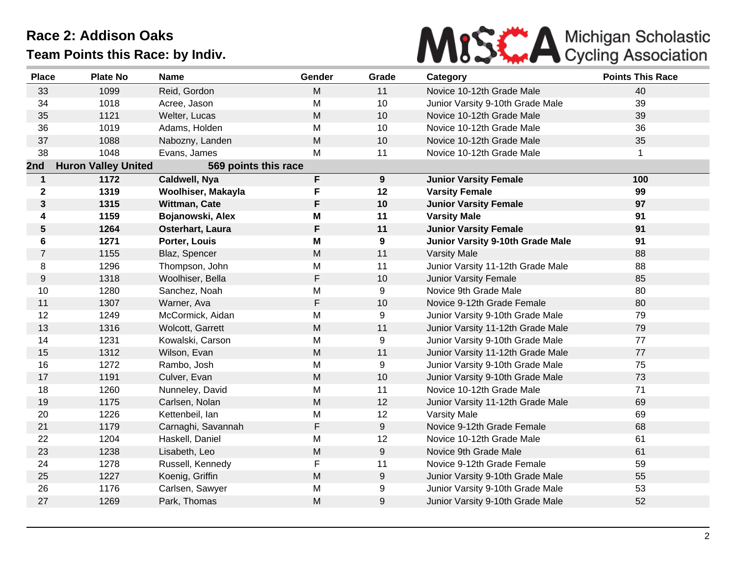

| <b>Place</b>     | <b>Plate No</b>            | <b>Name</b>          | Gender      | Grade | Category                          | <b>Points This Race</b> |
|------------------|----------------------------|----------------------|-------------|-------|-----------------------------------|-------------------------|
| 33               | 1099                       | Reid, Gordon         | M           | 11    | Novice 10-12th Grade Male         | 40                      |
| 34               | 1018                       | Acree, Jason         | M           | 10    | Junior Varsity 9-10th Grade Male  | 39                      |
| 35               | 1121                       | Welter, Lucas        | M           | 10    | Novice 10-12th Grade Male         | 39                      |
| 36               | 1019                       | Adams, Holden        | M           | 10    | Novice 10-12th Grade Male         | 36                      |
| 37               | 1088                       | Nabozny, Landen      | M           | 10    | Novice 10-12th Grade Male         | 35                      |
| 38               | 1048                       | Evans, James         | M           | 11    | Novice 10-12th Grade Male         | $\mathbf{1}$            |
| 2nd              | <b>Huron Valley United</b> | 569 points this race |             |       |                                   |                         |
| $\mathbf{1}$     | 1172                       | Caldwell, Nya        | F           | 9     | <b>Junior Varsity Female</b>      | 100                     |
| $\mathbf 2$      | 1319                       | Woolhiser, Makayla   | F           | 12    | <b>Varsity Female</b>             | 99                      |
| $\mathbf{3}$     | 1315                       | Wittman, Cate        | F           | 10    | <b>Junior Varsity Female</b>      | 97                      |
| 4                | 1159                       | Bojanowski, Alex     | M           | 11    | <b>Varsity Male</b>               | 91                      |
| 5                | 1264                       | Osterhart, Laura     | F           | 11    | <b>Junior Varsity Female</b>      | 91                      |
| 6                | 1271                       | Porter, Louis        | M           | 9     | Junior Varsity 9-10th Grade Male  | 91                      |
| $\overline{7}$   | 1155                       | Blaz, Spencer        | M           | 11    | <b>Varsity Male</b>               | 88                      |
| 8                | 1296                       | Thompson, John       | M           | 11    | Junior Varsity 11-12th Grade Male | 88                      |
| $\boldsymbol{9}$ | 1318                       | Woolhiser, Bella     | $\mathsf F$ | 10    | <b>Junior Varsity Female</b>      | 85                      |
| 10               | 1280                       | Sanchez, Noah        | M           | 9     | Novice 9th Grade Male             | 80                      |
| 11               | 1307                       | Warner, Ava          | F           | 10    | Novice 9-12th Grade Female        | 80                      |
| 12               | 1249                       | McCormick, Aidan     | M           | 9     | Junior Varsity 9-10th Grade Male  | 79                      |
| 13               | 1316                       | Wolcott, Garrett     | M           | 11    | Junior Varsity 11-12th Grade Male | 79                      |
| 14               | 1231                       | Kowalski, Carson     | M           | 9     | Junior Varsity 9-10th Grade Male  | 77                      |
| 15               | 1312                       | Wilson, Evan         | M           | 11    | Junior Varsity 11-12th Grade Male | 77                      |
| 16               | 1272                       | Rambo, Josh          | M           | 9     | Junior Varsity 9-10th Grade Male  | 75                      |
| 17               | 1191                       | Culver, Evan         | ${\sf M}$   | 10    | Junior Varsity 9-10th Grade Male  | 73                      |
| 18               | 1260                       | Nunneley, David      | M           | 11    | Novice 10-12th Grade Male         | 71                      |
| 19               | 1175                       | Carlsen, Nolan       | M           | 12    | Junior Varsity 11-12th Grade Male | 69                      |
| 20               | 1226                       | Kettenbeil, lan      | M           | 12    | <b>Varsity Male</b>               | 69                      |
| 21               | 1179                       | Carnaghi, Savannah   | F           | 9     | Novice 9-12th Grade Female        | 68                      |
| 22               | 1204                       | Haskell, Daniel      | M           | 12    | Novice 10-12th Grade Male         | 61                      |
| 23               | 1238                       | Lisabeth, Leo        | M           | 9     | Novice 9th Grade Male             | 61                      |
| 24               | 1278                       | Russell, Kennedy     | F           | 11    | Novice 9-12th Grade Female        | 59                      |
| 25               | 1227                       | Koenig, Griffin      | M           | 9     | Junior Varsity 9-10th Grade Male  | 55                      |
| 26               | 1176                       | Carlsen, Sawyer      | M           | 9     | Junior Varsity 9-10th Grade Male  | 53                      |
| 27               | 1269                       | Park, Thomas         | M           | 9     | Junior Varsity 9-10th Grade Male  | 52                      |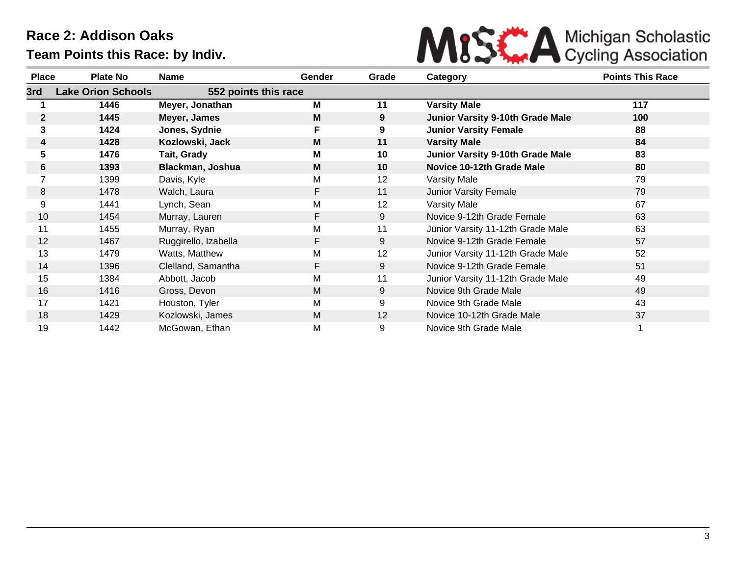

| <b>Place</b> | <b>Plate No</b>           | <b>Name</b>          | Gender | Grade | Category                                | <b>Points This Race</b> |
|--------------|---------------------------|----------------------|--------|-------|-----------------------------------------|-------------------------|
| 3rd          | <b>Lake Orion Schools</b> | 552 points this race |        |       |                                         |                         |
|              | 1446                      | Meyer, Jonathan      | м      | 11    | <b>Varsity Male</b>                     | 117                     |
| $\mathbf{2}$ | 1445                      | Meyer, James         | M      | 9     | <b>Junior Varsity 9-10th Grade Male</b> | 100                     |
| 3            | 1424                      | Jones, Sydnie        | F      | 9     | <b>Junior Varsity Female</b>            | 88                      |
| 4            | 1428                      | Kozlowski, Jack      | M      | 11    | <b>Varsity Male</b>                     | 84                      |
| 5.           | 1476                      | Tait, Grady          | М      | 10    | <b>Junior Varsity 9-10th Grade Male</b> | 83                      |
| 6            | 1393                      | Blackman, Joshua     | M      | 10    | Novice 10-12th Grade Male               | 80                      |
|              | 1399                      | Davis, Kyle          | М      | 12    | Varsity Male                            | 79                      |
| 8            | 1478                      | Walch, Laura         | F.     | 11    | <b>Junior Varsity Female</b>            | 79                      |
| 9            | 1441                      | Lynch, Sean          | Μ      | 12    | <b>Varsity Male</b>                     | 67                      |
| 10           | 1454                      | Murray, Lauren       | F.     | 9     | Novice 9-12th Grade Female              | 63                      |
| 11           | 1455                      | Murray, Ryan         | М      | 11    | Junior Varsity 11-12th Grade Male       | 63                      |
| 12           | 1467                      | Ruggirello, Izabella | F.     | 9     | Novice 9-12th Grade Female              | 57                      |
| 13           | 1479                      | Watts, Matthew       | М      | 12    | Junior Varsity 11-12th Grade Male       | 52                      |
| 14           | 1396                      | Clelland, Samantha   | F.     | 9     | Novice 9-12th Grade Female              | 51                      |
| 15           | 1384                      | Abbott, Jacob        | Μ      | 11    | Junior Varsity 11-12th Grade Male       | 49                      |
| 16           | 1416                      | Gross, Devon         | M      | 9     | Novice 9th Grade Male                   | 49                      |
| 17           | 1421                      | Houston, Tyler       | М      | 9     | Novice 9th Grade Male                   | 43                      |
| 18           | 1429                      | Kozlowski, James     | M      | 12    | Novice 10-12th Grade Male               | 37                      |
| 19           | 1442                      | McGowan, Ethan       | Μ      | 9     | Novice 9th Grade Male                   |                         |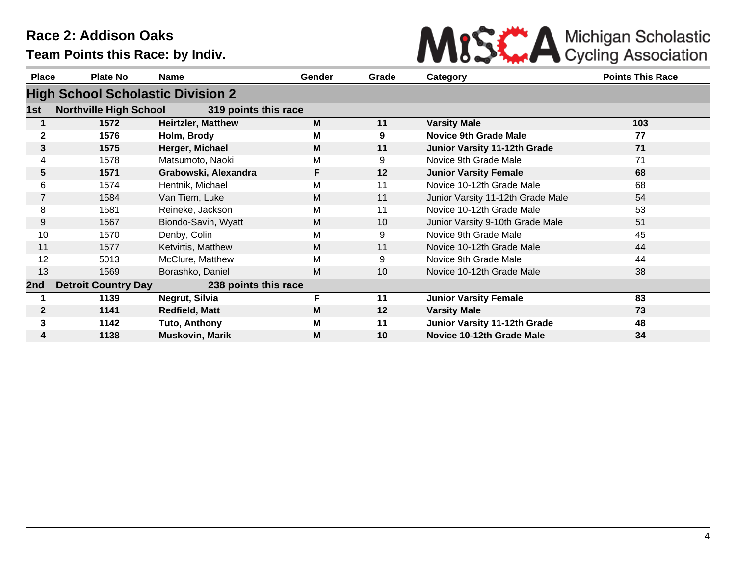

| <b>Place</b> | Plate No                                 | <b>Name</b>               | <b>Gender</b> | Grade | Category                          | <b>Points This Race</b> |
|--------------|------------------------------------------|---------------------------|---------------|-------|-----------------------------------|-------------------------|
|              | <b>High School Scholastic Division 2</b> |                           |               |       |                                   |                         |
| 1st          | <b>Northville High School</b>            | 319 points this race      |               |       |                                   |                         |
|              | 1572                                     | <b>Heirtzler, Matthew</b> | M             | 11    | <b>Varsity Male</b>               | 103                     |
| $\mathbf{2}$ | 1576                                     | Holm, Brody               | М             | 9     | <b>Novice 9th Grade Male</b>      | 77                      |
| 3            | 1575                                     | Herger, Michael           | M             | 11    | Junior Varsity 11-12th Grade      | 71                      |
| 4            | 1578                                     | Matsumoto, Naoki          | М             | 9     | Novice 9th Grade Male             | 71                      |
| 5            | 1571                                     | Grabowski, Alexandra      | F.            | 12    | <b>Junior Varsity Female</b>      | 68                      |
| 6            | 1574                                     | Hentnik, Michael          | M             | 11    | Novice 10-12th Grade Male         | 68                      |
| 7            | 1584                                     | Van Tiem, Luke            | M             | 11    | Junior Varsity 11-12th Grade Male | 54                      |
| 8            | 1581                                     | Reineke, Jackson          | M             | 11    | Novice 10-12th Grade Male         | 53                      |
| 9            | 1567                                     | Biondo-Savin, Wyatt       | M             | 10    | Junior Varsity 9-10th Grade Male  | 51                      |
| 10           | 1570                                     | Denby, Colin              | М             | 9     | Novice 9th Grade Male             | 45                      |
| 11           | 1577                                     | Ketvirtis, Matthew        | M             | 11    | Novice 10-12th Grade Male         | 44                      |
| 12           | 5013                                     | McClure, Matthew          | M             | 9     | Novice 9th Grade Male             | 44                      |
| 13           | 1569                                     | Borashko, Daniel          | M             | 10    | Novice 10-12th Grade Male         | 38                      |
| 2nd          | <b>Detroit Country Day</b>               | 238 points this race      |               |       |                                   |                         |
|              | 1139                                     | Negrut, Silvia            | F             | 11    | <b>Junior Varsity Female</b>      | 83                      |
| $\mathbf{2}$ | 1141                                     | <b>Redfield, Matt</b>     | M             | 12    | <b>Varsity Male</b>               | 73                      |
| $\mathbf{3}$ | 1142                                     | Tuto, Anthony             | M             | 11    | Junior Varsity 11-12th Grade      | 48                      |
| 4            | 1138                                     | <b>Muskovin, Marik</b>    | M             | 10    | Novice 10-12th Grade Male         | 34                      |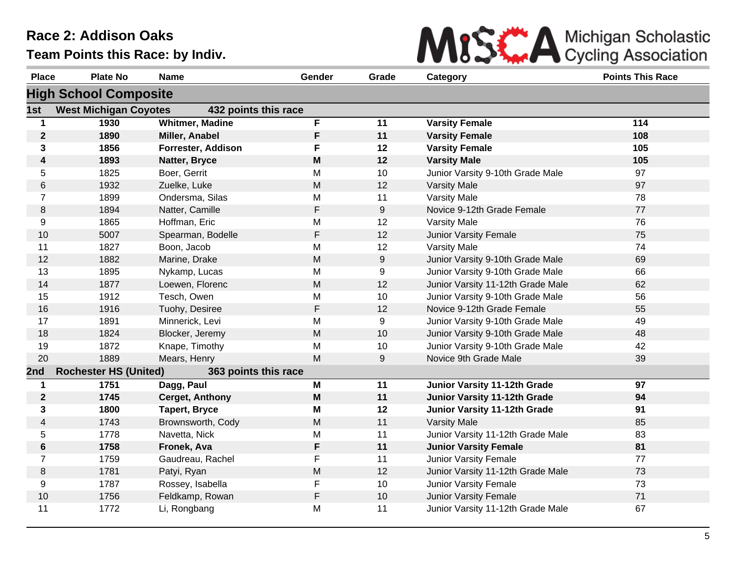

| <b>Place</b>     | <b>Plate No</b>              | <b>Name</b>            | Gender      | Grade | Category                          | <b>Points This Race</b> |
|------------------|------------------------------|------------------------|-------------|-------|-----------------------------------|-------------------------|
|                  | <b>High School Composite</b> |                        |             |       |                                   |                         |
| 1st              | <b>West Michigan Coyotes</b> | 432 points this race   |             |       |                                   |                         |
| $\mathbf 1$      | 1930                         | <b>Whitmer, Madine</b> | F           | 11    | <b>Varsity Female</b>             | 114                     |
| $\boldsymbol{2}$ | 1890                         | Miller, Anabel         | F           | 11    | <b>Varsity Female</b>             | 108                     |
| 3                | 1856                         | Forrester, Addison     | F           | 12    | <b>Varsity Female</b>             | 105                     |
| 4                | 1893                         | Natter, Bryce          | M           | 12    | <b>Varsity Male</b>               | 105                     |
| 5                | 1825                         | Boer, Gerrit           | M           | 10    | Junior Varsity 9-10th Grade Male  | 97                      |
| 6                | 1932                         | Zuelke, Luke           | M           | 12    | <b>Varsity Male</b>               | 97                      |
| $\overline{7}$   | 1899                         | Ondersma, Silas        | M           | 11    | <b>Varsity Male</b>               | 78                      |
| 8                | 1894                         | Natter, Camille        | F           | 9     | Novice 9-12th Grade Female        | 77                      |
| 9                | 1865                         | Hoffman, Eric          | M           | 12    | <b>Varsity Male</b>               | 76                      |
| 10               | 5007                         | Spearman, Bodelle      | F           | 12    | Junior Varsity Female             | 75                      |
| 11               | 1827                         | Boon, Jacob            | M           | 12    | <b>Varsity Male</b>               | 74                      |
| 12               | 1882                         | Marine, Drake          | M           | 9     | Junior Varsity 9-10th Grade Male  | 69                      |
| 13               | 1895                         | Nykamp, Lucas          | M           | 9     | Junior Varsity 9-10th Grade Male  | 66                      |
| 14               | 1877                         | Loewen, Florenc        | M           | 12    | Junior Varsity 11-12th Grade Male | 62                      |
| 15               | 1912                         | Tesch, Owen            | M           | 10    | Junior Varsity 9-10th Grade Male  | 56                      |
| 16               | 1916                         | Tuohy, Desiree         | $\mathsf F$ | 12    | Novice 9-12th Grade Female        | 55                      |
| 17               | 1891                         | Minnerick, Levi        | M           | 9     | Junior Varsity 9-10th Grade Male  | 49                      |
| 18               | 1824                         | Blocker, Jeremy        | M           | 10    | Junior Varsity 9-10th Grade Male  | 48                      |
| 19               | 1872                         | Knape, Timothy         | M           | 10    | Junior Varsity 9-10th Grade Male  | 42                      |
| 20               | 1889                         | Mears, Henry           | M           | 9     | Novice 9th Grade Male             | 39                      |
| 2nd              | <b>Rochester HS (United)</b> | 363 points this race   |             |       |                                   |                         |
| $\mathbf 1$      | 1751                         | Dagg, Paul             | M           | 11    | Junior Varsity 11-12th Grade      | 97                      |
| $\mathbf{2}$     | 1745                         | <b>Cerget, Anthony</b> | M           | 11    | Junior Varsity 11-12th Grade      | 94                      |
| 3                | 1800                         | <b>Tapert, Bryce</b>   | M           | 12    | Junior Varsity 11-12th Grade      | 91                      |
| $\overline{4}$   | 1743                         | Brownsworth, Cody      | M           | 11    | <b>Varsity Male</b>               | 85                      |
| 5                | 1778                         | Navetta, Nick          | M           | 11    | Junior Varsity 11-12th Grade Male | 83                      |
| 6                | 1758                         | Fronek, Ava            | F           | 11    | <b>Junior Varsity Female</b>      | 81                      |
| $\overline{7}$   | 1759                         | Gaudreau, Rachel       | F           | 11    | Junior Varsity Female             | 77                      |
| 8                | 1781                         | Patyi, Ryan            | M           | 12    | Junior Varsity 11-12th Grade Male | 73                      |
| 9                | 1787                         | Rossey, Isabella       | F           | 10    | Junior Varsity Female             | 73                      |
| 10               | 1756                         | Feldkamp, Rowan        | F           | 10    | <b>Junior Varsity Female</b>      | 71                      |
| 11               | 1772                         | Li, Rongbang           | M           | 11    | Junior Varsity 11-12th Grade Male | 67                      |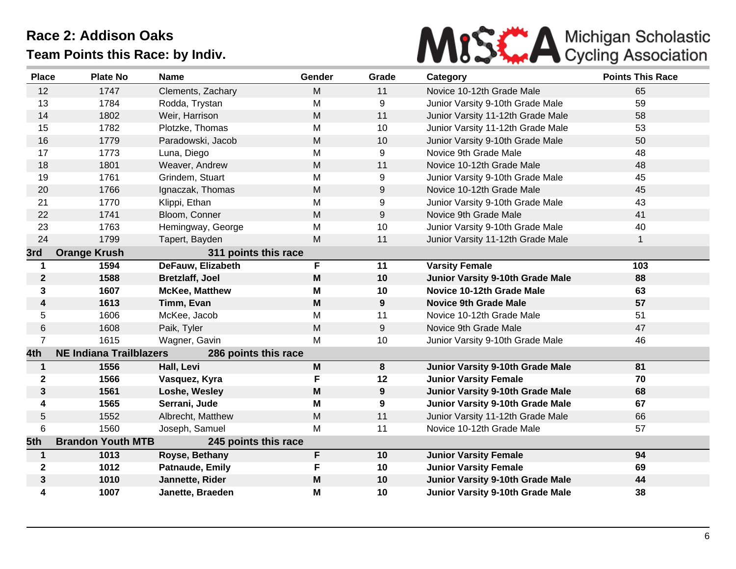

| <b>Place</b>     | <b>Plate No</b>                | <b>Name</b>            | Gender    | Grade | Category                          | <b>Points This Race</b> |
|------------------|--------------------------------|------------------------|-----------|-------|-----------------------------------|-------------------------|
| 12               | 1747                           | Clements, Zachary      | M         | 11    | Novice 10-12th Grade Male         | 65                      |
| 13               | 1784                           | Rodda, Trystan         | M         | 9     | Junior Varsity 9-10th Grade Male  | 59                      |
| 14               | 1802                           | Weir, Harrison         | M         | 11    | Junior Varsity 11-12th Grade Male | 58                      |
| 15               | 1782                           | Plotzke, Thomas        | M         | 10    | Junior Varsity 11-12th Grade Male | 53                      |
| 16               | 1779                           | Paradowski, Jacob      | ${\sf M}$ | 10    | Junior Varsity 9-10th Grade Male  | 50                      |
| 17               | 1773                           | Luna, Diego            | M         | 9     | Novice 9th Grade Male             | 48                      |
| 18               | 1801                           | Weaver, Andrew         | M         | 11    | Novice 10-12th Grade Male         | 48                      |
| 19               | 1761                           | Grindem, Stuart        | M         | 9     | Junior Varsity 9-10th Grade Male  | 45                      |
| 20               | 1766                           | Ignaczak, Thomas       | M         | 9     | Novice 10-12th Grade Male         | 45                      |
| 21               | 1770                           | Klippi, Ethan          | M         | 9     | Junior Varsity 9-10th Grade Male  | 43                      |
| 22               | 1741                           | Bloom, Conner          | M         | 9     | Novice 9th Grade Male             | 41                      |
| 23               | 1763                           | Hemingway, George      | M         | 10    | Junior Varsity 9-10th Grade Male  | 40                      |
| 24               | 1799                           | Tapert, Bayden         | M         | 11    | Junior Varsity 11-12th Grade Male | $\mathbf{1}$            |
| 3rd              | <b>Orange Krush</b>            | 311 points this race   |           |       |                                   |                         |
| $\mathbf 1$      | 1594                           | DeFauw, Elizabeth      | F         | 11    | <b>Varsity Female</b>             | 103                     |
| $\boldsymbol{2}$ | 1588                           | <b>Bretzlaff, Joel</b> | M         | 10    | Junior Varsity 9-10th Grade Male  | 88                      |
| 3                | 1607                           | <b>McKee, Matthew</b>  | M         | 10    | Novice 10-12th Grade Male         | 63                      |
| 4                | 1613                           | Timm, Evan             | M         | 9     | <b>Novice 9th Grade Male</b>      | 57                      |
| 5                | 1606                           | McKee, Jacob           | M         | 11    | Novice 10-12th Grade Male         | 51                      |
| 6                | 1608                           | Paik, Tyler            | M         | 9     | Novice 9th Grade Male             | 47                      |
| $\overline{7}$   | 1615                           | Wagner, Gavin          | M         | 10    | Junior Varsity 9-10th Grade Male  | 46                      |
| 4th              | <b>NE Indiana Trailblazers</b> | 286 points this race   |           |       |                                   |                         |
| $\mathbf{1}$     | 1556                           | Hall, Levi             | M         | 8     | Junior Varsity 9-10th Grade Male  | 81                      |
| $\mathbf{2}$     | 1566                           | Vasquez, Kyra          | F         | 12    | <b>Junior Varsity Female</b>      | 70                      |
| $\mathbf{3}$     | 1561                           | Loshe, Wesley          | M         | 9     | Junior Varsity 9-10th Grade Male  | 68                      |
| 4                | 1565                           | Serrani, Jude          | M         | 9     | Junior Varsity 9-10th Grade Male  | 67                      |
| 5                | 1552                           | Albrecht, Matthew      | M         | 11    | Junior Varsity 11-12th Grade Male | 66                      |
| 6                | 1560                           | Joseph, Samuel         | M         | 11    | Novice 10-12th Grade Male         | 57                      |
| 5th              | <b>Brandon Youth MTB</b>       | 245 points this race   |           |       |                                   |                         |
| $\mathbf 1$      | 1013                           | Royse, Bethany         | F         | 10    | <b>Junior Varsity Female</b>      | 94                      |
| $\mathbf{2}$     | 1012                           | Patnaude, Emily        | F         | 10    | <b>Junior Varsity Female</b>      | 69                      |
| $\mathbf{3}$     | 1010                           | Jannette, Rider        | M         | 10    | Junior Varsity 9-10th Grade Male  | 44                      |
| 4                | 1007                           | Janette, Braeden       | M         | 10    | Junior Varsity 9-10th Grade Male  | 38                      |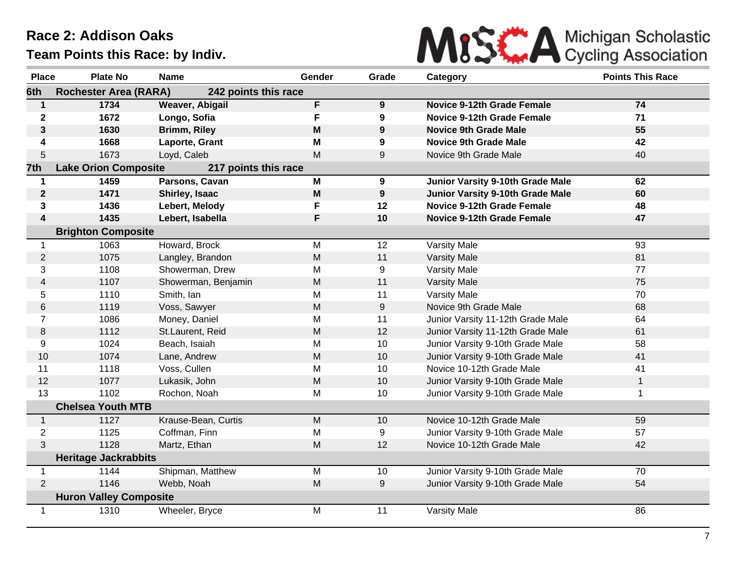

| <b>Place</b>            | <b>Plate No</b>               | <b>Name</b>            | Gender                                                                                | Grade | Category                          | <b>Points This Race</b> |
|-------------------------|-------------------------------|------------------------|---------------------------------------------------------------------------------------|-------|-----------------------------------|-------------------------|
| 6th                     | <b>Rochester Area (RARA)</b>  | 242 points this race   |                                                                                       |       |                                   |                         |
| $\mathbf{1}$            | 1734                          | <b>Weaver, Abigail</b> | F                                                                                     | 9     | <b>Novice 9-12th Grade Female</b> | 74                      |
| $\mathbf 2$             | 1672                          | Longo, Sofia           | F                                                                                     | 9     | <b>Novice 9-12th Grade Female</b> | 71                      |
| 3                       | 1630                          | <b>Brimm, Riley</b>    | $\mathsf{M}% _{T}=\mathsf{M}_{T}\!\left( a,b\right) ,\ \mathsf{M}_{T}=\mathsf{M}_{T}$ | 9     | <b>Novice 9th Grade Male</b>      | 55                      |
| 4                       | 1668                          | Laporte, Grant         | M                                                                                     | 9     | <b>Novice 9th Grade Male</b>      | 42                      |
| 5                       | 1673                          | Loyd, Caleb            | M                                                                                     | 9     | Novice 9th Grade Male             | 40                      |
| 7th                     | <b>Lake Orion Composite</b>   | 217 points this race   |                                                                                       |       |                                   |                         |
| 1                       | 1459                          | Parsons, Cavan         | M                                                                                     | 9     | Junior Varsity 9-10th Grade Male  | 62                      |
| $\mathbf{2}$            | 1471                          | Shirley, Isaac         | $\mathsf{M}% _{T}=\mathsf{M}_{T}\!\left( a,b\right) ,\ \mathsf{M}_{T}=\mathsf{M}_{T}$ | 9     | Junior Varsity 9-10th Grade Male  | 60                      |
| 3                       | 1436                          | Lebert, Melody         | F                                                                                     | 12    | <b>Novice 9-12th Grade Female</b> | 48                      |
| $\overline{\mathbf{4}}$ | 1435                          | Lebert, Isabella       | F                                                                                     | 10    | <b>Novice 9-12th Grade Female</b> | 47                      |
|                         | <b>Brighton Composite</b>     |                        |                                                                                       |       |                                   |                         |
| $\mathbf 1$             | 1063                          | Howard, Brock          | M                                                                                     | 12    | <b>Varsity Male</b>               | 93                      |
| $\overline{2}$          | 1075                          | Langley, Brandon       | M                                                                                     | 11    | <b>Varsity Male</b>               | 81                      |
| 3                       | 1108                          | Showerman, Drew        | M                                                                                     | 9     | Varsity Male                      | 77                      |
| 4                       | 1107                          | Showerman, Benjamin    | M                                                                                     | 11    | <b>Varsity Male</b>               | 75                      |
| 5                       | 1110                          | Smith, Ian             | M                                                                                     | 11    | Varsity Male                      | 70                      |
| 6                       | 1119                          | Voss, Sawyer           | M                                                                                     | 9     | Novice 9th Grade Male             | 68                      |
| $\overline{7}$          | 1086                          | Money, Daniel          | M                                                                                     | 11    | Junior Varsity 11-12th Grade Male | 64                      |
| 8                       | 1112                          | St.Laurent, Reid       | M                                                                                     | 12    | Junior Varsity 11-12th Grade Male | 61                      |
| 9                       | 1024                          | Beach, Isaiah          | M                                                                                     | 10    | Junior Varsity 9-10th Grade Male  | 58                      |
| 10                      | 1074                          | Lane, Andrew           | M                                                                                     | 10    | Junior Varsity 9-10th Grade Male  | 41                      |
| 11                      | 1118                          | Voss, Cullen           | M                                                                                     | 10    | Novice 10-12th Grade Male         | 41                      |
| 12                      | 1077                          | Lukasik, John          | M                                                                                     | 10    | Junior Varsity 9-10th Grade Male  | $\mathbf{1}$            |
| 13                      | 1102                          | Rochon, Noah           | M                                                                                     | 10    | Junior Varsity 9-10th Grade Male  | 1                       |
|                         | <b>Chelsea Youth MTB</b>      |                        |                                                                                       |       |                                   |                         |
| $\mathbf{1}$            | 1127                          | Krause-Bean, Curtis    | M                                                                                     | 10    | Novice 10-12th Grade Male         | 59                      |
| 2                       | 1125                          | Coffman, Finn          | M                                                                                     | 9     | Junior Varsity 9-10th Grade Male  | 57                      |
| 3                       | 1128                          | Martz, Ethan           | M                                                                                     | 12    | Novice 10-12th Grade Male         | 42                      |
|                         | <b>Heritage Jackrabbits</b>   |                        |                                                                                       |       |                                   |                         |
| 1                       | 1144                          | Shipman, Matthew       | M                                                                                     | 10    | Junior Varsity 9-10th Grade Male  | 70                      |
| $\overline{2}$          | 1146                          | Webb, Noah             | M                                                                                     | 9     | Junior Varsity 9-10th Grade Male  | 54                      |
|                         | <b>Huron Valley Composite</b> |                        |                                                                                       |       |                                   |                         |
| $\mathbf{1}$            | 1310                          | Wheeler, Bryce         | M                                                                                     | 11    | <b>Varsity Male</b>               | 86                      |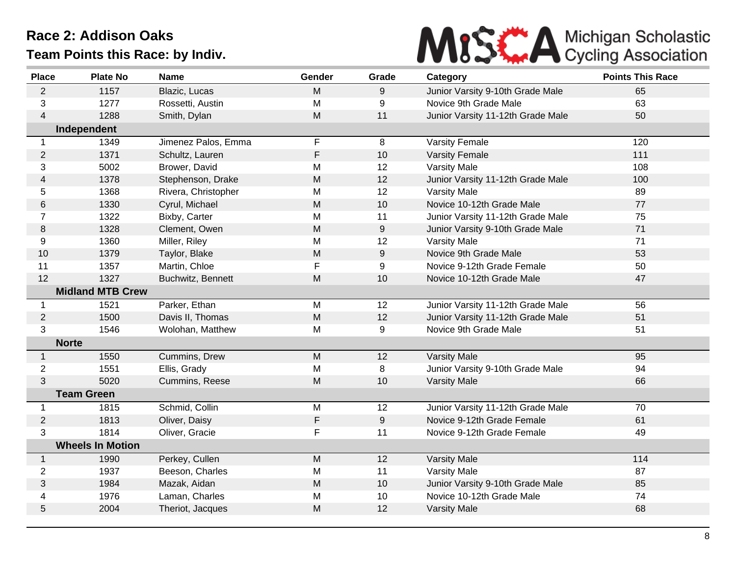

| 65<br>$\overline{2}$<br>1157<br>Blazic, Lucas<br>M<br>9<br>Junior Varsity 9-10th Grade Male<br>63<br>3<br>1277<br>M<br>9<br>Novice 9th Grade Male<br>Rossetti, Austin<br>1288<br>M<br>50<br>Smith, Dylan<br>11<br>Junior Varsity 11-12th Grade Male<br>4<br>Independent<br>F<br>1349<br>Jimenez Palos, Emma<br>8<br><b>Varsity Female</b><br>120<br>$\mathbf 1$<br>1371<br>F<br>111<br>2<br>10<br>Schultz, Lauren<br><b>Varsity Female</b><br>3<br>5002<br>12<br>Brower, David<br>M<br><b>Varsity Male</b><br>108<br>1378<br>Stephenson, Drake<br>M<br>12<br>Junior Varsity 11-12th Grade Male<br>100<br>4<br>1368<br>12<br>89<br>5<br>Rivera, Christopher<br>M<br><b>Varsity Male</b><br>1330<br>${\sf M}$<br>10<br>Novice 10-12th Grade Male<br>77<br>6<br>Cyrul, Michael<br>1322<br>Bixby, Carter<br>Μ<br>11<br>Junior Varsity 11-12th Grade Male<br>75<br>7<br>M<br>9<br>71<br>1328<br>Clement, Owen<br>8<br>Junior Varsity 9-10th Grade Male<br>1360<br>Miller, Riley<br>12<br>71<br>9<br>M<br><b>Varsity Male</b><br>1379<br>M<br>9<br>Novice 9th Grade Male<br>53<br>10<br>Taylor, Blake<br>F<br>11<br>1357<br>Martin, Chloe<br>9<br>Novice 9-12th Grade Female<br>50<br>1327<br>12<br>M<br>10<br>Novice 10-12th Grade Male<br>47<br>Buchwitz, Bennett | <b>Place</b> | <b>Plate No</b>         | <b>Name</b> | Gender | Grade | Category | <b>Points This Race</b> |
|---------------------------------------------------------------------------------------------------------------------------------------------------------------------------------------------------------------------------------------------------------------------------------------------------------------------------------------------------------------------------------------------------------------------------------------------------------------------------------------------------------------------------------------------------------------------------------------------------------------------------------------------------------------------------------------------------------------------------------------------------------------------------------------------------------------------------------------------------------------------------------------------------------------------------------------------------------------------------------------------------------------------------------------------------------------------------------------------------------------------------------------------------------------------------------------------------------------------------------------------------------------|--------------|-------------------------|-------------|--------|-------|----------|-------------------------|
|                                                                                                                                                                                                                                                                                                                                                                                                                                                                                                                                                                                                                                                                                                                                                                                                                                                                                                                                                                                                                                                                                                                                                                                                                                                               |              |                         |             |        |       |          |                         |
|                                                                                                                                                                                                                                                                                                                                                                                                                                                                                                                                                                                                                                                                                                                                                                                                                                                                                                                                                                                                                                                                                                                                                                                                                                                               |              |                         |             |        |       |          |                         |
|                                                                                                                                                                                                                                                                                                                                                                                                                                                                                                                                                                                                                                                                                                                                                                                                                                                                                                                                                                                                                                                                                                                                                                                                                                                               |              |                         |             |        |       |          |                         |
|                                                                                                                                                                                                                                                                                                                                                                                                                                                                                                                                                                                                                                                                                                                                                                                                                                                                                                                                                                                                                                                                                                                                                                                                                                                               |              |                         |             |        |       |          |                         |
|                                                                                                                                                                                                                                                                                                                                                                                                                                                                                                                                                                                                                                                                                                                                                                                                                                                                                                                                                                                                                                                                                                                                                                                                                                                               |              |                         |             |        |       |          |                         |
|                                                                                                                                                                                                                                                                                                                                                                                                                                                                                                                                                                                                                                                                                                                                                                                                                                                                                                                                                                                                                                                                                                                                                                                                                                                               |              |                         |             |        |       |          |                         |
|                                                                                                                                                                                                                                                                                                                                                                                                                                                                                                                                                                                                                                                                                                                                                                                                                                                                                                                                                                                                                                                                                                                                                                                                                                                               |              |                         |             |        |       |          |                         |
|                                                                                                                                                                                                                                                                                                                                                                                                                                                                                                                                                                                                                                                                                                                                                                                                                                                                                                                                                                                                                                                                                                                                                                                                                                                               |              |                         |             |        |       |          |                         |
|                                                                                                                                                                                                                                                                                                                                                                                                                                                                                                                                                                                                                                                                                                                                                                                                                                                                                                                                                                                                                                                                                                                                                                                                                                                               |              |                         |             |        |       |          |                         |
|                                                                                                                                                                                                                                                                                                                                                                                                                                                                                                                                                                                                                                                                                                                                                                                                                                                                                                                                                                                                                                                                                                                                                                                                                                                               |              |                         |             |        |       |          |                         |
|                                                                                                                                                                                                                                                                                                                                                                                                                                                                                                                                                                                                                                                                                                                                                                                                                                                                                                                                                                                                                                                                                                                                                                                                                                                               |              |                         |             |        |       |          |                         |
|                                                                                                                                                                                                                                                                                                                                                                                                                                                                                                                                                                                                                                                                                                                                                                                                                                                                                                                                                                                                                                                                                                                                                                                                                                                               |              |                         |             |        |       |          |                         |
|                                                                                                                                                                                                                                                                                                                                                                                                                                                                                                                                                                                                                                                                                                                                                                                                                                                                                                                                                                                                                                                                                                                                                                                                                                                               |              |                         |             |        |       |          |                         |
|                                                                                                                                                                                                                                                                                                                                                                                                                                                                                                                                                                                                                                                                                                                                                                                                                                                                                                                                                                                                                                                                                                                                                                                                                                                               |              |                         |             |        |       |          |                         |
|                                                                                                                                                                                                                                                                                                                                                                                                                                                                                                                                                                                                                                                                                                                                                                                                                                                                                                                                                                                                                                                                                                                                                                                                                                                               |              |                         |             |        |       |          |                         |
|                                                                                                                                                                                                                                                                                                                                                                                                                                                                                                                                                                                                                                                                                                                                                                                                                                                                                                                                                                                                                                                                                                                                                                                                                                                               |              |                         |             |        |       |          |                         |
|                                                                                                                                                                                                                                                                                                                                                                                                                                                                                                                                                                                                                                                                                                                                                                                                                                                                                                                                                                                                                                                                                                                                                                                                                                                               |              | <b>Midland MTB Crew</b> |             |        |       |          |                         |
| Parker, Ethan<br>1521<br>M<br>12<br>Junior Varsity 11-12th Grade Male<br>56<br>-1                                                                                                                                                                                                                                                                                                                                                                                                                                                                                                                                                                                                                                                                                                                                                                                                                                                                                                                                                                                                                                                                                                                                                                             |              |                         |             |        |       |          |                         |
| 1500<br>$\overline{2}$<br>Davis II, Thomas<br>M<br>12<br>51<br>Junior Varsity 11-12th Grade Male                                                                                                                                                                                                                                                                                                                                                                                                                                                                                                                                                                                                                                                                                                                                                                                                                                                                                                                                                                                                                                                                                                                                                              |              |                         |             |        |       |          |                         |
| 3<br>1546<br>9<br>Novice 9th Grade Male<br>51<br>Wolohan, Matthew<br>М                                                                                                                                                                                                                                                                                                                                                                                                                                                                                                                                                                                                                                                                                                                                                                                                                                                                                                                                                                                                                                                                                                                                                                                        |              |                         |             |        |       |          |                         |
| <b>Norte</b>                                                                                                                                                                                                                                                                                                                                                                                                                                                                                                                                                                                                                                                                                                                                                                                                                                                                                                                                                                                                                                                                                                                                                                                                                                                  |              |                         |             |        |       |          |                         |
| 1550<br>Cummins, Drew<br>M<br>95<br>$\mathbf{1}$<br>12<br><b>Varsity Male</b>                                                                                                                                                                                                                                                                                                                                                                                                                                                                                                                                                                                                                                                                                                                                                                                                                                                                                                                                                                                                                                                                                                                                                                                 |              |                         |             |        |       |          |                         |
| $\overline{2}$<br>8<br>94<br>1551<br>Ellis, Grady<br>M<br>Junior Varsity 9-10th Grade Male                                                                                                                                                                                                                                                                                                                                                                                                                                                                                                                                                                                                                                                                                                                                                                                                                                                                                                                                                                                                                                                                                                                                                                    |              |                         |             |        |       |          |                         |
| 3<br>5020<br>M<br>66<br>Cummins, Reese<br>10<br><b>Varsity Male</b>                                                                                                                                                                                                                                                                                                                                                                                                                                                                                                                                                                                                                                                                                                                                                                                                                                                                                                                                                                                                                                                                                                                                                                                           |              |                         |             |        |       |          |                         |
| <b>Team Green</b>                                                                                                                                                                                                                                                                                                                                                                                                                                                                                                                                                                                                                                                                                                                                                                                                                                                                                                                                                                                                                                                                                                                                                                                                                                             |              |                         |             |        |       |          |                         |
| Schmid, Collin<br>M<br>12<br>Junior Varsity 11-12th Grade Male<br>70<br>1815<br>$\mathbf 1$                                                                                                                                                                                                                                                                                                                                                                                                                                                                                                                                                                                                                                                                                                                                                                                                                                                                                                                                                                                                                                                                                                                                                                   |              |                         |             |        |       |          |                         |
| F<br>$\overline{2}$<br>1813<br>Oliver, Daisy<br>9<br>Novice 9-12th Grade Female<br>61                                                                                                                                                                                                                                                                                                                                                                                                                                                                                                                                                                                                                                                                                                                                                                                                                                                                                                                                                                                                                                                                                                                                                                         |              |                         |             |        |       |          |                         |
| 1814<br>3<br>F<br>Oliver, Gracie<br>11<br>Novice 9-12th Grade Female<br>49                                                                                                                                                                                                                                                                                                                                                                                                                                                                                                                                                                                                                                                                                                                                                                                                                                                                                                                                                                                                                                                                                                                                                                                    |              |                         |             |        |       |          |                         |
| <b>Wheels In Motion</b>                                                                                                                                                                                                                                                                                                                                                                                                                                                                                                                                                                                                                                                                                                                                                                                                                                                                                                                                                                                                                                                                                                                                                                                                                                       |              |                         |             |        |       |          |                         |
| 12<br>Perkey, Cullen<br>M<br><b>Varsity Male</b><br>114<br>$\mathbf{1}$<br>1990                                                                                                                                                                                                                                                                                                                                                                                                                                                                                                                                                                                                                                                                                                                                                                                                                                                                                                                                                                                                                                                                                                                                                                               |              |                         |             |        |       |          |                         |
| 1937<br>$\overline{2}$<br>Beeson, Charles<br>M<br>11<br>87<br><b>Varsity Male</b>                                                                                                                                                                                                                                                                                                                                                                                                                                                                                                                                                                                                                                                                                                                                                                                                                                                                                                                                                                                                                                                                                                                                                                             |              |                         |             |        |       |          |                         |
| 1984<br>${\sf M}$<br>85<br>3<br>Mazak, Aidan<br>10<br>Junior Varsity 9-10th Grade Male                                                                                                                                                                                                                                                                                                                                                                                                                                                                                                                                                                                                                                                                                                                                                                                                                                                                                                                                                                                                                                                                                                                                                                        |              |                         |             |        |       |          |                         |
| 1976<br>74<br>Laman, Charles<br>M<br>10<br>Novice 10-12th Grade Male<br>4                                                                                                                                                                                                                                                                                                                                                                                                                                                                                                                                                                                                                                                                                                                                                                                                                                                                                                                                                                                                                                                                                                                                                                                     |              |                         |             |        |       |          |                         |
| M<br>5<br>2004<br>Theriot, Jacques<br>12<br>68<br><b>Varsity Male</b>                                                                                                                                                                                                                                                                                                                                                                                                                                                                                                                                                                                                                                                                                                                                                                                                                                                                                                                                                                                                                                                                                                                                                                                         |              |                         |             |        |       |          |                         |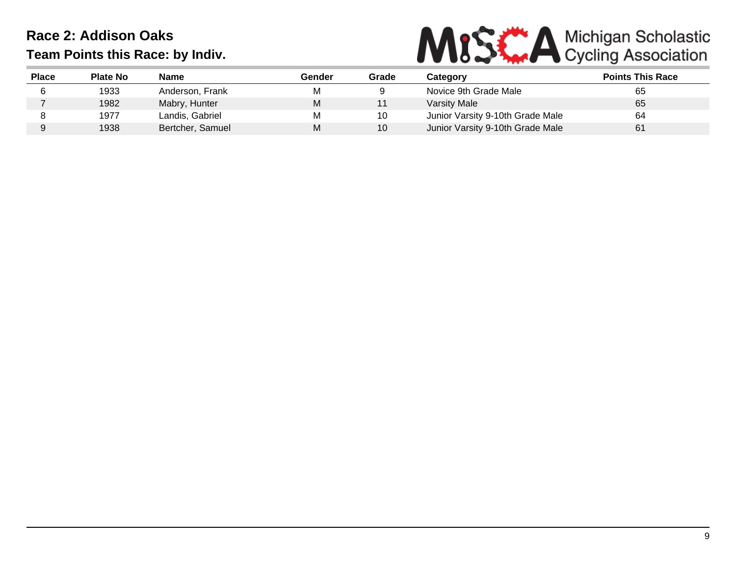

| <b>Place</b> | <b>Plate No</b> | Name             | Gender | Grade | <b>Category</b>                  | <b>Points This Race</b> |
|--------------|-----------------|------------------|--------|-------|----------------------------------|-------------------------|
|              | 1933            | Anderson, Frank  | M      |       | Novice 9th Grade Male            | 65                      |
|              | 1982            | Mabry, Hunter    | M      |       | Varsity Male                     | 65                      |
|              | 1977            | Landis, Gabriel  | M      | 10    | Junior Varsity 9-10th Grade Male | 64                      |
|              | 1938            | Bertcher, Samuel | М      | 10    | Junior Varsity 9-10th Grade Male | 61                      |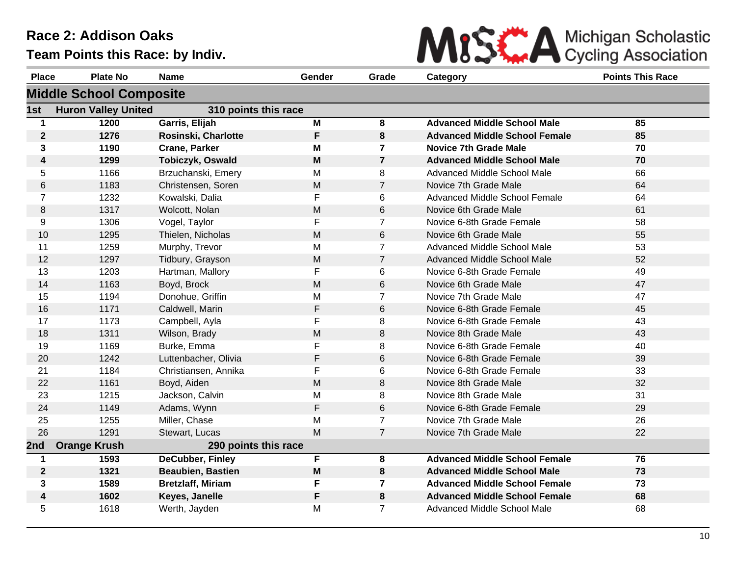

| <b>Place</b>            | <b>Plate No</b>                | <b>Name</b>              | Gender | Grade          | Category                             | <b>Points This Race</b> |
|-------------------------|--------------------------------|--------------------------|--------|----------------|--------------------------------------|-------------------------|
|                         | <b>Middle School Composite</b> |                          |        |                |                                      |                         |
| 1st                     | <b>Huron Valley United</b>     | 310 points this race     |        |                |                                      |                         |
| $\mathbf 1$             | 1200                           | Garris, Elijah           | M      | 8              | <b>Advanced Middle School Male</b>   | 85                      |
| $\boldsymbol{2}$        | 1276                           | Rosinski, Charlotte      | F      | 8              | <b>Advanced Middle School Female</b> | 85                      |
| 3                       | 1190                           | <b>Crane, Parker</b>     | M      | $\overline{7}$ | <b>Novice 7th Grade Male</b>         | 70                      |
| $\overline{\mathbf{4}}$ | 1299                           | Tobiczyk, Oswald         | M      | $\overline{7}$ | <b>Advanced Middle School Male</b>   | 70                      |
| 5                       | 1166                           | Brzuchanski, Emery       | M      | 8              | Advanced Middle School Male          | 66                      |
| 6                       | 1183                           | Christensen, Soren       | M      | $\overline{7}$ | Novice 7th Grade Male                | 64                      |
| $\overline{7}$          | 1232                           | Kowalski, Dalia          | F      | 6              | Advanced Middle School Female        | 64                      |
| 8                       | 1317                           | Wolcott, Nolan           | M      | 6              | Novice 6th Grade Male                | 61                      |
| 9                       | 1306                           | Vogel, Taylor            | F      | $\overline{7}$ | Novice 6-8th Grade Female            | 58                      |
| 10                      | 1295                           | Thielen, Nicholas        | M      | 6              | Novice 6th Grade Male                | 55                      |
| 11                      | 1259                           | Murphy, Trevor           | M      | $\overline{7}$ | Advanced Middle School Male          | 53                      |
| 12                      | 1297                           | Tidbury, Grayson         | M      | $\overline{7}$ | <b>Advanced Middle School Male</b>   | 52                      |
| 13                      | 1203                           | Hartman, Mallory         | F      | 6              | Novice 6-8th Grade Female            | 49                      |
| 14                      | 1163                           | Boyd, Brock              | M      | 6              | Novice 6th Grade Male                | 47                      |
| 15                      | 1194                           | Donohue, Griffin         | M      | $\overline{7}$ | Novice 7th Grade Male                | 47                      |
| 16                      | 1171                           | Caldwell, Marin          | F      | $\,6\,$        | Novice 6-8th Grade Female            | 45                      |
| 17                      | 1173                           | Campbell, Ayla           | F      | 8              | Novice 6-8th Grade Female            | 43                      |
| 18                      | 1311                           | Wilson, Brady            | M      | 8              | Novice 8th Grade Male                | 43                      |
| 19                      | 1169                           | Burke, Emma              | F      | 8              | Novice 6-8th Grade Female            | 40                      |
| 20                      | 1242                           | Luttenbacher, Olivia     | F      | 6              | Novice 6-8th Grade Female            | 39                      |
| 21                      | 1184                           | Christiansen, Annika     | F      | 6              | Novice 6-8th Grade Female            | 33                      |
| 22                      | 1161                           | Boyd, Aiden              | M      | 8              | Novice 8th Grade Male                | 32                      |
| 23                      | 1215                           | Jackson, Calvin          | M      | 8              | Novice 8th Grade Male                | 31                      |
| 24                      | 1149                           | Adams, Wynn              | F      | 6              | Novice 6-8th Grade Female            | 29                      |
| 25                      | 1255                           | Miller, Chase            | M      | $\overline{7}$ | Novice 7th Grade Male                | 26                      |
| 26                      | 1291                           | Stewart, Lucas           | M      | $\overline{7}$ | Novice 7th Grade Male                | 22                      |
| 2nd                     | <b>Orange Krush</b>            | 290 points this race     |        |                |                                      |                         |
| 1                       | 1593                           | <b>DeCubber, Finley</b>  | F      | 8              | <b>Advanced Middle School Female</b> | 76                      |
| $\mathbf 2$             | 1321                           | <b>Beaubien, Bastien</b> | M      | 8              | <b>Advanced Middle School Male</b>   | 73                      |
| 3                       | 1589                           | <b>Bretzlaff, Miriam</b> | F      | $\overline{7}$ | <b>Advanced Middle School Female</b> | 73                      |
| 4                       | 1602                           | Keyes, Janelle           | F      | 8              | <b>Advanced Middle School Female</b> | 68                      |
| 5                       | 1618                           | Werth, Jayden            | M      | $\overline{7}$ | Advanced Middle School Male          | 68                      |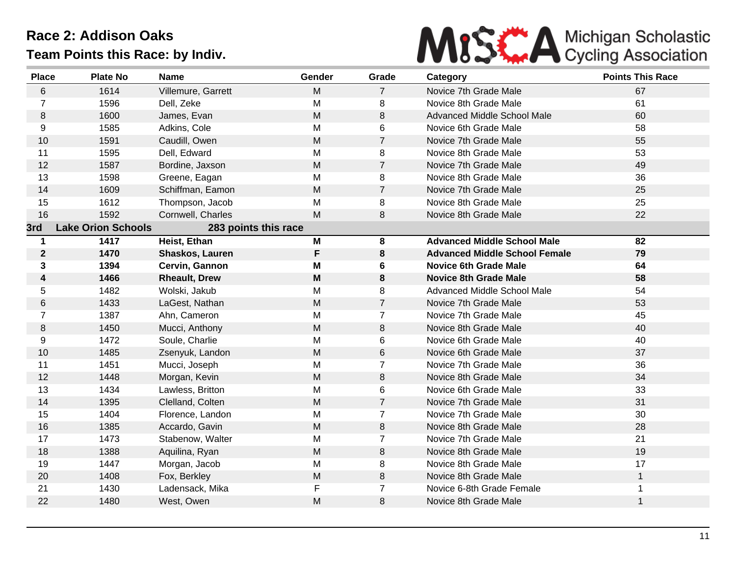

| <b>Place</b>   | <b>Plate No</b>           | Name                   | Gender    | Grade          | Category                             | <b>Points This Race</b> |
|----------------|---------------------------|------------------------|-----------|----------------|--------------------------------------|-------------------------|
| $6\phantom{.}$ | 1614                      | Villemure, Garrett     | M         | $\overline{7}$ | Novice 7th Grade Male                | 67                      |
| $\overline{7}$ | 1596                      | Dell, Zeke             | M         | 8              | Novice 8th Grade Male                | 61                      |
| $\,8\,$        | 1600                      | James, Evan            | M         | 8              | <b>Advanced Middle School Male</b>   | 60                      |
| 9              | 1585                      | Adkins, Cole           | M         | 6              | Novice 6th Grade Male                | 58                      |
| 10             | 1591                      | Caudill, Owen          | M         | $\overline{7}$ | Novice 7th Grade Male                | 55                      |
| 11             | 1595                      | Dell, Edward           | M         | 8              | Novice 8th Grade Male                | 53                      |
| 12             | 1587                      | Bordine, Jaxson        | ${\sf M}$ | $\overline{7}$ | Novice 7th Grade Male                | 49                      |
| 13             | 1598                      | Greene, Eagan          | M         | 8              | Novice 8th Grade Male                | 36                      |
| 14             | 1609                      | Schiffman, Eamon       | M         | $\overline{7}$ | Novice 7th Grade Male                | 25                      |
| 15             | 1612                      | Thompson, Jacob        | M         | 8              | Novice 8th Grade Male                | 25                      |
| 16             | 1592                      | Cornwell, Charles      | M         | 8              | Novice 8th Grade Male                | 22                      |
| 3rd            | <b>Lake Orion Schools</b> | 283 points this race   |           |                |                                      |                         |
| $\mathbf 1$    | 1417                      | Heist, Ethan           | M         | 8              | <b>Advanced Middle School Male</b>   | 82                      |
| $\overline{2}$ | 1470                      | <b>Shaskos, Lauren</b> | F         | 8              | <b>Advanced Middle School Female</b> | 79                      |
| 3              | 1394                      | Cervin, Gannon         | M         | 6              | <b>Novice 6th Grade Male</b>         | 64                      |
| 4              | 1466                      | <b>Rheault, Drew</b>   | M         | 8              | <b>Novice 8th Grade Male</b>         | 58                      |
| 5              | 1482                      | Wolski, Jakub          | M         | 8              | Advanced Middle School Male          | 54                      |
| 6              | 1433                      | LaGest, Nathan         | M         | $\overline{7}$ | Novice 7th Grade Male                | 53                      |
| $\overline{7}$ | 1387                      | Ahn, Cameron           | M         | $\overline{7}$ | Novice 7th Grade Male                | 45                      |
| 8              | 1450                      | Mucci, Anthony         | M         | 8              | Novice 8th Grade Male                | 40                      |
| 9              | 1472                      | Soule, Charlie         | M         | 6              | Novice 6th Grade Male                | 40                      |
| 10             | 1485                      | Zsenyuk, Landon        | M         | 6              | Novice 6th Grade Male                | 37                      |
| 11             | 1451                      | Mucci, Joseph          | M         | $\overline{7}$ | Novice 7th Grade Male                | 36                      |
| 12             | 1448                      | Morgan, Kevin          | M         | 8              | Novice 8th Grade Male                | 34                      |
| 13             | 1434                      | Lawless, Britton       | M         | 6              | Novice 6th Grade Male                | 33                      |
| 14             | 1395                      | Clelland, Colten       | M         | $\overline{7}$ | Novice 7th Grade Male                | 31                      |
| 15             | 1404                      | Florence, Landon       | M         | $\overline{7}$ | Novice 7th Grade Male                | 30                      |
| 16             | 1385                      | Accardo, Gavin         | M         | 8              | Novice 8th Grade Male                | 28                      |
| 17             | 1473                      | Stabenow, Walter       | M         | $\mathbf{7}$   | Novice 7th Grade Male                | 21                      |
| 18             | 1388                      | Aquilina, Ryan         | M         | 8              | Novice 8th Grade Male                | 19                      |
| 19             | 1447                      | Morgan, Jacob          | M         | 8              | Novice 8th Grade Male                | 17                      |
| 20             | 1408                      | Fox, Berkley           | M         | 8              | Novice 8th Grade Male                | $\mathbf{1}$            |
| 21             | 1430                      | Ladensack, Mika        | F         | $\overline{7}$ | Novice 6-8th Grade Female            | 1                       |
| 22             | 1480                      | West, Owen             | M         | 8              | Novice 8th Grade Male                | $\mathbf 1$             |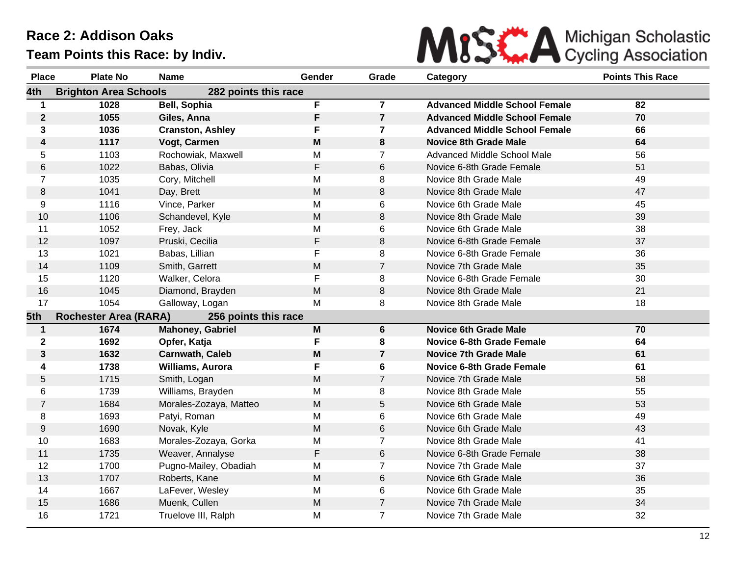

| <b>Place</b>         | <b>Plate No</b>              | <b>Name</b>             | Gender      | Grade                   | Category                             | <b>Points This Race</b> |
|----------------------|------------------------------|-------------------------|-------------|-------------------------|--------------------------------------|-------------------------|
| 4th                  | <b>Brighton Area Schools</b> | 282 points this race    |             |                         |                                      |                         |
| $\blacktriangleleft$ | 1028                         | <b>Bell, Sophia</b>     | F           | $\overline{7}$          | <b>Advanced Middle School Female</b> | 82                      |
| $\mathbf{2}$         | 1055                         | Giles, Anna             | F           | $\overline{7}$          | <b>Advanced Middle School Female</b> | 70                      |
| 3                    | 1036                         | <b>Cranston, Ashley</b> | F           | $\overline{\mathbf{7}}$ | <b>Advanced Middle School Female</b> | 66                      |
| 4                    | 1117                         | Vogt, Carmen            | M           | 8                       | <b>Novice 8th Grade Male</b>         | 64                      |
| 5                    | 1103                         | Rochowiak, Maxwell      | M           | $\overline{7}$          | Advanced Middle School Male          | 56                      |
| 6                    | 1022                         | Babas, Olivia           | F           | 6                       | Novice 6-8th Grade Female            | 51                      |
| 7                    | 1035                         | Cory, Mitchell          | Μ           | 8                       | Novice 8th Grade Male                | 49                      |
| 8                    | 1041                         | Day, Brett              | M           | 8                       | Novice 8th Grade Male                | 47                      |
| 9                    | 1116                         | Vince, Parker           | M           | 6                       | Novice 6th Grade Male                | 45                      |
| 10                   | 1106                         | Schandevel, Kyle        | M           | 8                       | Novice 8th Grade Male                | 39                      |
| 11                   | 1052                         | Frey, Jack              | M           | 6                       | Novice 6th Grade Male                | 38                      |
| 12                   | 1097                         | Pruski, Cecilia         | $\mathsf F$ | 8                       | Novice 6-8th Grade Female            | 37                      |
| 13                   | 1021                         | Babas, Lillian          | F           | 8                       | Novice 6-8th Grade Female            | 36                      |
| 14                   | 1109                         | Smith, Garrett          | M           | $\overline{7}$          | Novice 7th Grade Male                | 35                      |
| 15                   | 1120                         | Walker, Celora          | F           | 8                       | Novice 6-8th Grade Female            | 30                      |
| 16                   | 1045                         | Diamond, Brayden        | M           | 8                       | Novice 8th Grade Male                | 21                      |
| 17                   | 1054                         | Galloway, Logan         | M           | 8                       | Novice 8th Grade Male                | 18                      |
| 5th                  | <b>Rochester Area (RARA)</b> | 256 points this race    |             |                         |                                      |                         |
| $\mathbf{1}$         | 1674                         | Mahoney, Gabriel        | M           | 6                       | <b>Novice 6th Grade Male</b>         | 70                      |
| $\mathbf 2$          | 1692                         | Opfer, Katja            | F           | 8                       | <b>Novice 6-8th Grade Female</b>     | 64                      |
| 3                    | 1632                         | <b>Carnwath, Caleb</b>  | M           | $\overline{7}$          | <b>Novice 7th Grade Male</b>         | 61                      |
| 4                    | 1738                         | Williams, Aurora        | F           | 6                       | <b>Novice 6-8th Grade Female</b>     | 61                      |
| 5                    | 1715                         | Smith, Logan            | M           | $\overline{7}$          | Novice 7th Grade Male                | 58                      |
| 6                    | 1739                         | Williams, Brayden       | M           | 8                       | Novice 8th Grade Male                | 55                      |
| $\overline{7}$       | 1684                         | Morales-Zozaya, Matteo  | M           | 5                       | Novice 6th Grade Male                | 53                      |
| 8                    | 1693                         | Patyi, Roman            | M           | 6                       | Novice 6th Grade Male                | 49                      |
| 9                    | 1690                         | Novak, Kyle             | M           | 6                       | Novice 6th Grade Male                | 43                      |
| 10                   | 1683                         | Morales-Zozaya, Gorka   | M           | $\overline{7}$          | Novice 8th Grade Male                | 41                      |
| 11                   | 1735                         | Weaver, Annalyse        | F           | 6                       | Novice 6-8th Grade Female            | 38                      |
| 12                   | 1700                         | Pugno-Mailey, Obadiah   | M           | $\overline{7}$          | Novice 7th Grade Male                | 37                      |
| 13                   | 1707                         | Roberts, Kane           | M           | 6                       | Novice 6th Grade Male                | 36                      |
| 14                   | 1667                         | LaFever, Wesley         | M           | 6                       | Novice 6th Grade Male                | 35                      |
| 15                   | 1686                         | Muenk, Cullen           | M           | $\overline{7}$          | Novice 7th Grade Male                | 34                      |
| 16                   | 1721                         | Truelove III, Ralph     | M           | $\overline{7}$          | Novice 7th Grade Male                | 32                      |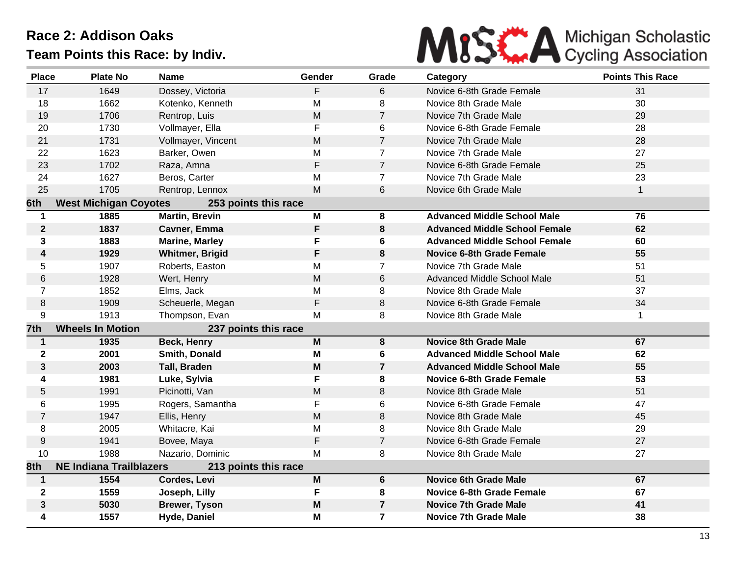

| <b>Place</b>     | <b>Plate No</b>                | <b>Name</b>            | Gender | Grade          | Category                             | <b>Points This Race</b> |
|------------------|--------------------------------|------------------------|--------|----------------|--------------------------------------|-------------------------|
| 17               | 1649                           | Dossey, Victoria       | F      | $6\phantom{1}$ | Novice 6-8th Grade Female            | 31                      |
| 18               | 1662                           | Kotenko, Kenneth       | M      | 8              | Novice 8th Grade Male                | 30                      |
| 19               | 1706                           | Rentrop, Luis          | M      | $\overline{7}$ | Novice 7th Grade Male                | 29                      |
| 20               | 1730                           | Vollmayer, Ella        | F      | 6              | Novice 6-8th Grade Female            | 28                      |
| 21               | 1731                           | Vollmayer, Vincent     | M      | $\overline{7}$ | Novice 7th Grade Male                | 28                      |
| 22               | 1623                           | Barker, Owen           | M      | $\overline{7}$ | Novice 7th Grade Male                | 27                      |
| 23               | 1702                           | Raza, Amna             | F      | $\overline{7}$ | Novice 6-8th Grade Female            | 25                      |
| 24               | 1627                           | Beros, Carter          | M      | $\overline{7}$ | Novice 7th Grade Male                | 23                      |
| 25               | 1705                           | Rentrop, Lennox        | M      | 6              | Novice 6th Grade Male                | $\mathbf{1}$            |
| 6th              | <b>West Michigan Coyotes</b>   | 253 points this race   |        |                |                                      |                         |
| $\mathbf 1$      | 1885                           | <b>Martin, Brevin</b>  | M      | 8              | <b>Advanced Middle School Male</b>   | 76                      |
| $\boldsymbol{2}$ | 1837                           | Cavner, Emma           | F      | 8              | <b>Advanced Middle School Female</b> | 62                      |
| 3                | 1883                           | <b>Marine, Marley</b>  | F      | 6              | <b>Advanced Middle School Female</b> | 60                      |
| 4                | 1929                           | <b>Whitmer, Brigid</b> | F      | 8              | <b>Novice 6-8th Grade Female</b>     | 55                      |
| 5                | 1907                           | Roberts, Easton        | м      | $\overline{7}$ | Novice 7th Grade Male                | 51                      |
| 6                | 1928                           | Wert, Henry            | M      | 6              | Advanced Middle School Male          | 51                      |
| $\overline{7}$   | 1852                           | Elms, Jack             | M      | 8              | Novice 8th Grade Male                | 37                      |
| $\,8\,$          | 1909                           | Scheuerle, Megan       | F      | 8              | Novice 6-8th Grade Female            | 34                      |
| 9                | 1913                           | Thompson, Evan         | M      | 8              | Novice 8th Grade Male                | 1.                      |
| 7th              | <b>Wheels In Motion</b>        | 237 points this race   |        |                |                                      |                         |
| $\mathbf{1}$     | 1935                           | <b>Beck, Henry</b>     | M      | 8              | <b>Novice 8th Grade Male</b>         | 67                      |
| $\mathbf 2$      | 2001                           | Smith, Donald          | M      | 6              | <b>Advanced Middle School Male</b>   | 62                      |
| 3                | 2003                           | <b>Tall, Braden</b>    | M      | $\overline{7}$ | <b>Advanced Middle School Male</b>   | 55                      |
| 4                | 1981                           | Luke, Sylvia           | F      | 8              | <b>Novice 6-8th Grade Female</b>     | 53                      |
| 5                | 1991                           | Picinotti, Van         | M      | 8              | Novice 8th Grade Male                | 51                      |
| 6                | 1995                           | Rogers, Samantha       | F      | 6              | Novice 6-8th Grade Female            | 47                      |
| $\overline{7}$   | 1947                           | Ellis, Henry           | M      | 8              | Novice 8th Grade Male                | 45                      |
| 8                | 2005                           | Whitacre, Kai          | M      | 8              | Novice 8th Grade Male                | 29                      |
| $\boldsymbol{9}$ | 1941                           | Bovee, Maya            | F      | $\overline{7}$ | Novice 6-8th Grade Female            | 27                      |
| 10               | 1988                           | Nazario, Dominic       | M      | 8              | Novice 8th Grade Male                | 27                      |
| 8th              | <b>NE Indiana Trailblazers</b> | 213 points this race   |        |                |                                      |                         |
| $\mathbf{1}$     | 1554                           | Cordes, Levi           | M      | 6              | <b>Novice 6th Grade Male</b>         | 67                      |
| $\mathbf{2}$     | 1559                           | Joseph, Lilly          | F      | 8              | Novice 6-8th Grade Female            | 67                      |
| 3                | 5030                           | <b>Brewer, Tyson</b>   | M      | $\overline{7}$ | <b>Novice 7th Grade Male</b>         | 41                      |
| 4                | 1557                           | Hyde, Daniel           | M      | $\overline{7}$ | <b>Novice 7th Grade Male</b>         | 38                      |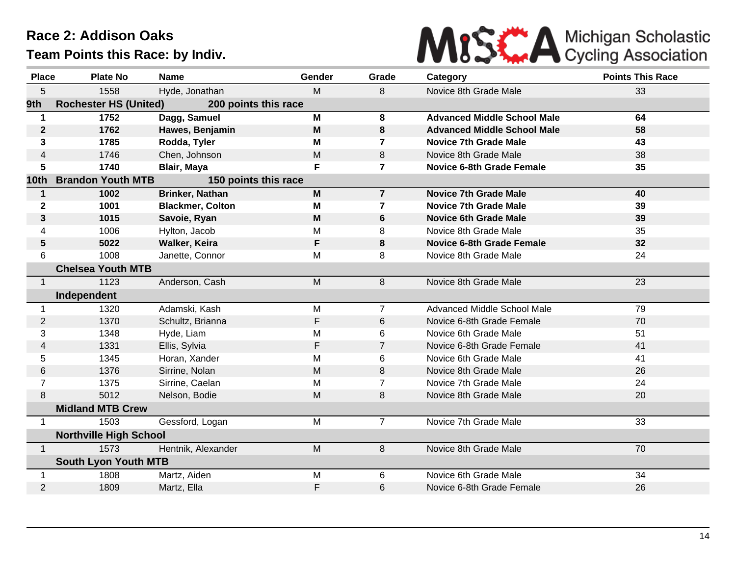

| <b>Place</b>     | <b>Plate No</b>               | <b>Name</b>             | Gender      | Grade          | Category                           | <b>Points This Race</b> |
|------------------|-------------------------------|-------------------------|-------------|----------------|------------------------------------|-------------------------|
| 5                | 1558                          | Hyde, Jonathan          | M           | 8              | Novice 8th Grade Male              | 33                      |
| 9th              | <b>Rochester HS (United)</b>  | 200 points this race    |             |                |                                    |                         |
| $\mathbf 1$      | 1752                          | Dagg, Samuel            | M           | 8              | <b>Advanced Middle School Male</b> | 64                      |
| $\boldsymbol{2}$ | 1762                          | Hawes, Benjamin         | $\mathbf M$ | 8              | <b>Advanced Middle School Male</b> | 58                      |
| 3                | 1785                          | Rodda, Tyler            | M           | $\overline{7}$ | <b>Novice 7th Grade Male</b>       | 43                      |
| 4                | 1746                          | Chen, Johnson           | M           | 8              | Novice 8th Grade Male              | 38                      |
| 5                | 1740                          | Blair, Maya             | F           | $\overline{7}$ | <b>Novice 6-8th Grade Female</b>   | 35                      |
| 10th             | <b>Brandon Youth MTB</b>      | 150 points this race    |             |                |                                    |                         |
| $\mathbf 1$      | 1002                          | <b>Brinker, Nathan</b>  | M           | $\overline{7}$ | <b>Novice 7th Grade Male</b>       | 40                      |
| 2                | 1001                          | <b>Blackmer, Colton</b> | M           | 7              | <b>Novice 7th Grade Male</b>       | 39                      |
| 3                | 1015                          | Savoie, Ryan            | M           | 6              | <b>Novice 6th Grade Male</b>       | 39                      |
| 4                | 1006                          | Hylton, Jacob           | M           | 8              | Novice 8th Grade Male              | 35                      |
| 5                | 5022                          | Walker, Keira           | F           | 8              | <b>Novice 6-8th Grade Female</b>   | 32                      |
| 6                | 1008                          | Janette, Connor         | М           | 8              | Novice 8th Grade Male              | 24                      |
|                  | <b>Chelsea Youth MTB</b>      |                         |             |                |                                    |                         |
| $\mathbf{1}$     | 1123                          | Anderson, Cash          | M           | 8              | Novice 8th Grade Male              | 23                      |
|                  | Independent                   |                         |             |                |                                    |                         |
| 1                | 1320                          | Adamski, Kash           | M           | $\overline{7}$ | Advanced Middle School Male        | 79                      |
| $\overline{2}$   | 1370                          | Schultz, Brianna        | F           | 6              | Novice 6-8th Grade Female          | 70                      |
| 3                | 1348                          | Hyde, Liam              | M           | 6              | Novice 6th Grade Male              | 51                      |
| 4                | 1331                          | Ellis, Sylvia           | F           | $\overline{7}$ | Novice 6-8th Grade Female          | 41                      |
| 5                | 1345                          | Horan, Xander           | M           | 6              | Novice 6th Grade Male              | 41                      |
| 6                | 1376                          | Sirrine, Nolan          | M           | 8              | Novice 8th Grade Male              | 26                      |
| $\overline{7}$   | 1375                          | Sirrine, Caelan         | M           | $\overline{7}$ | Novice 7th Grade Male              | 24                      |
| 8                | 5012                          | Nelson, Bodie           | M           | 8              | Novice 8th Grade Male              | 20                      |
|                  | <b>Midland MTB Crew</b>       |                         |             |                |                                    |                         |
| 1                | 1503                          | Gessford, Logan         | M           | $\overline{7}$ | Novice 7th Grade Male              | 33                      |
|                  | <b>Northville High School</b> |                         |             |                |                                    |                         |
| $\mathbf{1}$     | 1573                          | Hentnik, Alexander      | M           | 8              | Novice 8th Grade Male              | 70                      |
|                  | <b>South Lyon Youth MTB</b>   |                         |             |                |                                    |                         |
| 1                | 1808                          | Martz, Aiden            | M           | 6              | Novice 6th Grade Male              | 34                      |
| $\overline{2}$   | 1809                          | Martz, Ella             | F           | 6              | Novice 6-8th Grade Female          | 26                      |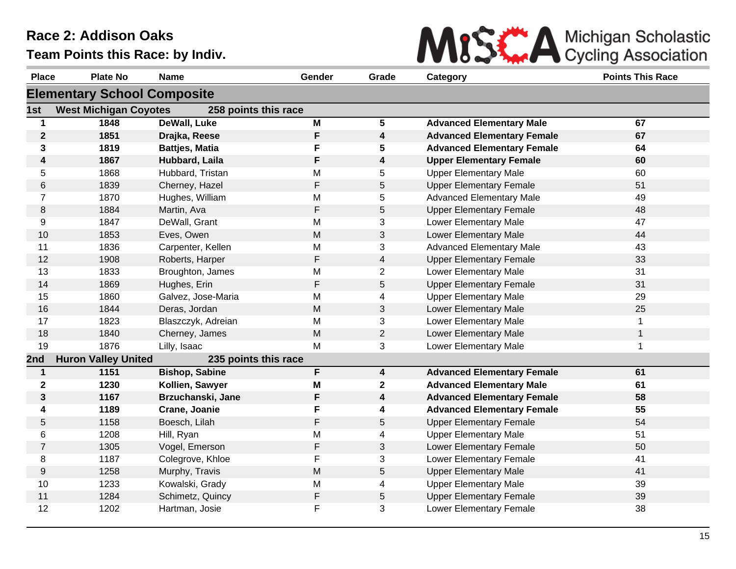

| <b>Place</b>            | <b>Plate No</b>                    | <b>Name</b>           | Gender | Grade                   | Category                          | <b>Points This Race</b> |
|-------------------------|------------------------------------|-----------------------|--------|-------------------------|-----------------------------------|-------------------------|
|                         | <b>Elementary School Composite</b> |                       |        |                         |                                   |                         |
| 1st                     | <b>West Michigan Coyotes</b>       | 258 points this race  |        |                         |                                   |                         |
| 1                       | 1848                               | <b>DeWall, Luke</b>   | M      | $5\phantom{.0}$         | <b>Advanced Elementary Male</b>   | 67                      |
| $\boldsymbol{2}$        | 1851                               | Drajka, Reese         | F      | $\overline{\mathbf{4}}$ | <b>Advanced Elementary Female</b> | 67                      |
| 3                       | 1819                               | <b>Battjes, Matia</b> | F      | 5                       | <b>Advanced Elementary Female</b> | 64                      |
| $\overline{\mathbf{4}}$ | 1867                               | Hubbard, Laila        | F      | $\boldsymbol{4}$        | <b>Upper Elementary Female</b>    | 60                      |
| 5                       | 1868                               | Hubbard, Tristan      | M      | 5                       | <b>Upper Elementary Male</b>      | 60                      |
| 6                       | 1839                               | Cherney, Hazel        | F      | 5                       | <b>Upper Elementary Female</b>    | 51                      |
| $\overline{7}$          | 1870                               | Hughes, William       | M      | 5                       | <b>Advanced Elementary Male</b>   | 49                      |
| 8                       | 1884                               | Martin, Ava           | F      | 5                       | <b>Upper Elementary Female</b>    | 48                      |
| 9                       | 1847                               | DeWall, Grant         | M      | 3                       | Lower Elementary Male             | 47                      |
| 10                      | 1853                               | Eves, Owen            | M      | 3                       | Lower Elementary Male             | 44                      |
| 11                      | 1836                               | Carpenter, Kellen     | M      | 3                       | <b>Advanced Elementary Male</b>   | 43                      |
| 12                      | 1908                               | Roberts, Harper       | F      | $\overline{4}$          | <b>Upper Elementary Female</b>    | 33                      |
| 13                      | 1833                               | Broughton, James      | M      | $\overline{2}$          | Lower Elementary Male             | 31                      |
| 14                      | 1869                               | Hughes, Erin          | F      | $\sqrt{5}$              | <b>Upper Elementary Female</b>    | 31                      |
| 15                      | 1860                               | Galvez, Jose-Maria    | M      | 4                       | <b>Upper Elementary Male</b>      | 29                      |
| 16                      | 1844                               | Deras, Jordan         | M      | 3                       | Lower Elementary Male             | 25                      |
| 17                      | 1823                               | Blaszczyk, Adreian    | M      | 3                       | Lower Elementary Male             |                         |
| 18                      | 1840                               | Cherney, James        | M      | $\overline{2}$          | Lower Elementary Male             | $\mathbf{1}$            |
| 19                      | 1876                               | Lilly, Isaac          | M      | 3                       | Lower Elementary Male             | 1                       |
| 2nd                     | <b>Huron Valley United</b>         | 235 points this race  |        |                         |                                   |                         |
| $\mathbf{1}$            | 1151                               | <b>Bishop, Sabine</b> | F      | $\boldsymbol{4}$        | <b>Advanced Elementary Female</b> | 61                      |
| $\mathbf 2$             | 1230                               | Kollien, Sawyer       | M      | $\boldsymbol{2}$        | <b>Advanced Elementary Male</b>   | 61                      |
| $\mathbf{3}$            | 1167                               | Brzuchanski, Jane     | F      | 4                       | <b>Advanced Elementary Female</b> | 58                      |
| 4                       | 1189                               | Crane, Joanie         | F      | 4                       | <b>Advanced Elementary Female</b> | 55                      |
| 5                       | 1158                               | Boesch, Lilah         | F      | $\mathbf 5$             | <b>Upper Elementary Female</b>    | 54                      |
| 6                       | 1208                               | Hill, Ryan            | M      | 4                       | <b>Upper Elementary Male</b>      | 51                      |
| $\overline{7}$          | 1305                               | Vogel, Emerson        | F      | $\sqrt{3}$              | Lower Elementary Female           | 50                      |
| 8                       | 1187                               | Colegrove, Khloe      | F      | 3                       | Lower Elementary Female           | 41                      |
| $\boldsymbol{9}$        | 1258                               | Murphy, Travis        | M      | 5                       | <b>Upper Elementary Male</b>      | 41                      |
| 10                      | 1233                               | Kowalski, Grady       | M      | 4                       | <b>Upper Elementary Male</b>      | 39                      |
| 11                      | 1284                               | Schimetz, Quincy      | F      | 5                       | <b>Upper Elementary Female</b>    | 39                      |
| 12                      | 1202                               | Hartman, Josie        | F      | 3                       | Lower Elementary Female           | 38                      |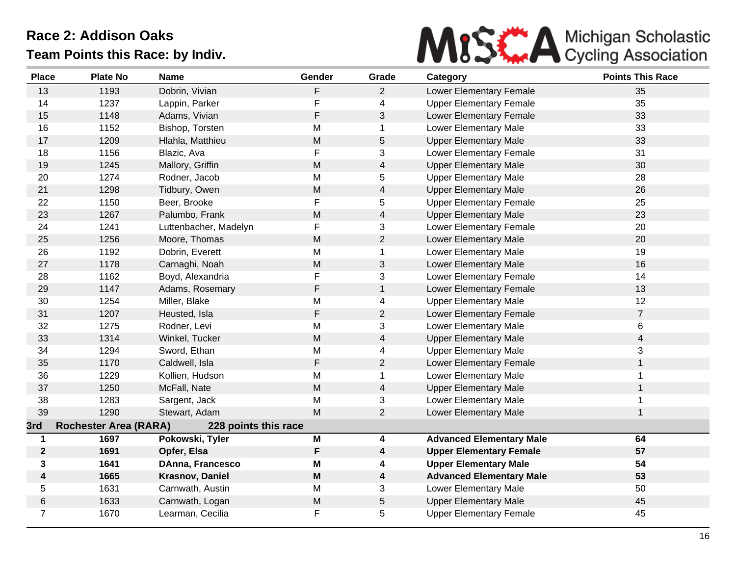

| <b>Place</b>   | <b>Plate No</b>              | <b>Name</b>            | Gender                                                                                                     | Grade                    | Category                        | <b>Points This Race</b> |
|----------------|------------------------------|------------------------|------------------------------------------------------------------------------------------------------------|--------------------------|---------------------------------|-------------------------|
| 13             | 1193                         | Dobrin, Vivian         | F                                                                                                          | $\overline{2}$           | Lower Elementary Female         | 35                      |
| 14             | 1237                         | Lappin, Parker         | F                                                                                                          | $\overline{\mathbf{4}}$  | <b>Upper Elementary Female</b>  | 35                      |
| 15             | 1148                         | Adams, Vivian          | F                                                                                                          | 3                        | Lower Elementary Female         | 33                      |
| 16             | 1152                         | Bishop, Torsten        | Μ                                                                                                          | $\mathbf 1$              | Lower Elementary Male           | 33                      |
| 17             | 1209                         | Hlahla, Matthieu       | M                                                                                                          | 5                        | <b>Upper Elementary Male</b>    | 33                      |
| 18             | 1156                         | Blazic, Ava            | F                                                                                                          | 3                        | Lower Elementary Female         | 31                      |
| 19             | 1245                         | Mallory, Griffin       | ${\sf M}$                                                                                                  | $\overline{4}$           | <b>Upper Elementary Male</b>    | 30                      |
| 20             | 1274                         | Rodner, Jacob          | M                                                                                                          | 5                        | <b>Upper Elementary Male</b>    | 28                      |
| 21             | 1298                         | Tidbury, Owen          | ${\sf M}$                                                                                                  | $\overline{4}$           | <b>Upper Elementary Male</b>    | 26                      |
| 22             | 1150                         | Beer, Brooke           | F                                                                                                          | 5                        | <b>Upper Elementary Female</b>  | 25                      |
| 23             | 1267                         | Palumbo, Frank         | M                                                                                                          | $\overline{\mathcal{A}}$ | <b>Upper Elementary Male</b>    | 23                      |
| 24             | 1241                         | Luttenbacher, Madelyn  | F                                                                                                          | 3                        | Lower Elementary Female         | 20                      |
| 25             | 1256                         | Moore, Thomas          | M                                                                                                          | $\overline{2}$           | Lower Elementary Male           | 20                      |
| 26             | 1192                         | Dobrin, Everett        | M                                                                                                          | $\mathbf 1$              | Lower Elementary Male           | 19                      |
| 27             | 1178                         | Carnaghi, Noah         | ${\sf M}$                                                                                                  | 3                        | Lower Elementary Male           | 16                      |
| 28             | 1162                         | Boyd, Alexandria       | F                                                                                                          | 3                        | Lower Elementary Female         | 14                      |
| 29             | 1147                         | Adams, Rosemary        | F                                                                                                          | $\mathbf{1}$             | Lower Elementary Female         | 13                      |
| 30             | 1254                         | Miller, Blake          | M                                                                                                          | 4                        | <b>Upper Elementary Male</b>    | 12                      |
| 31             | 1207                         | Heusted, Isla          | F                                                                                                          | $\overline{2}$           | Lower Elementary Female         | $\overline{7}$          |
| 32             | 1275                         | Rodner, Levi           | M                                                                                                          | 3                        | Lower Elementary Male           | 6                       |
| 33             | 1314                         | Winkel, Tucker         | $\mathsf{M}% _{T}=\mathsf{M}_{T}\!\left( a,b\right) ,\ \mathsf{M}_{T}=\mathsf{M}_{T}\!\left( a,b\right) ,$ | $\overline{4}$           | <b>Upper Elementary Male</b>    | $\overline{\mathbf{4}}$ |
| 34             | 1294                         | Sword, Ethan           | M                                                                                                          | 4                        | <b>Upper Elementary Male</b>    | 3                       |
| 35             | 1170                         | Caldwell, Isla         | F                                                                                                          | $\overline{2}$           | Lower Elementary Female         | $\mathbf{1}$            |
| 36             | 1229                         | Kollien, Hudson        | M                                                                                                          | 1                        | Lower Elementary Male           | $\mathbf{1}$            |
| 37             | 1250                         | McFall, Nate           | M                                                                                                          | $\overline{\mathbf{4}}$  | <b>Upper Elementary Male</b>    | $\mathbf{1}$            |
| 38             | 1283                         | Sargent, Jack          | M                                                                                                          | 3                        | Lower Elementary Male           | $\mathbf{1}$            |
| 39             | 1290                         | Stewart, Adam          | M                                                                                                          | $\overline{2}$           | Lower Elementary Male           | $\mathbf{1}$            |
| 3rd            | <b>Rochester Area (RARA)</b> | 228 points this race   |                                                                                                            |                          |                                 |                         |
| $\mathbf 1$    | 1697                         | Pokowski, Tyler        | M                                                                                                          | 4                        | <b>Advanced Elementary Male</b> | 64                      |
| $\mathbf{2}$   | 1691                         | Opfer, Elsa            | F                                                                                                          | 4                        | <b>Upper Elementary Female</b>  | 57                      |
| 3              | 1641                         | DAnna, Francesco       | M                                                                                                          | 4                        | <b>Upper Elementary Male</b>    | 54                      |
| 4              | 1665                         | <b>Krasnov, Daniel</b> | M                                                                                                          | 4                        | <b>Advanced Elementary Male</b> | 53                      |
| 5              | 1631                         | Carnwath, Austin       | M                                                                                                          | 3                        | Lower Elementary Male           | 50                      |
| $\,6$          | 1633                         | Carnwath, Logan        | M                                                                                                          | 5                        | <b>Upper Elementary Male</b>    | 45                      |
| $\overline{7}$ | 1670                         | Learman, Cecilia       | F                                                                                                          | 5                        | <b>Upper Elementary Female</b>  | 45                      |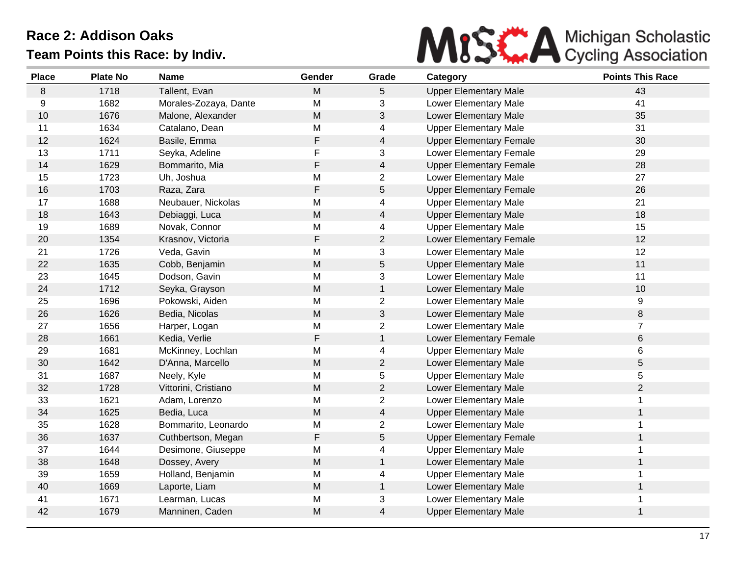

| <b>Place</b> | <b>Plate No</b> | <b>Name</b>           | Gender    | Grade          | Category                       | <b>Points This Race</b> |
|--------------|-----------------|-----------------------|-----------|----------------|--------------------------------|-------------------------|
| 8            | 1718            | Tallent, Evan         | M         | 5              | <b>Upper Elementary Male</b>   | 43                      |
| 9            | 1682            | Morales-Zozaya, Dante | M         | 3              | Lower Elementary Male          | 41                      |
| 10           | 1676            | Malone, Alexander     | M         | 3              | Lower Elementary Male          | 35                      |
| 11           | 1634            | Catalano, Dean        | Μ         | 4              | <b>Upper Elementary Male</b>   | 31                      |
| 12           | 1624            | Basile, Emma          | F         | $\overline{4}$ | <b>Upper Elementary Female</b> | 30                      |
| 13           | 1711            | Seyka, Adeline        | F         | 3              | Lower Elementary Female        | 29                      |
| 14           | 1629            | Bommarito, Mia        | F         | 4              | <b>Upper Elementary Female</b> | 28                      |
| 15           | 1723            | Uh, Joshua            | M         | $\overline{c}$ | Lower Elementary Male          | 27                      |
| 16           | 1703            | Raza, Zara            | F         | 5              | <b>Upper Elementary Female</b> | 26                      |
| 17           | 1688            | Neubauer, Nickolas    | M         | 4              | <b>Upper Elementary Male</b>   | 21                      |
| 18           | 1643            | Debiaggi, Luca        | M         | 4              | <b>Upper Elementary Male</b>   | 18                      |
| 19           | 1689            | Novak, Connor         | M         | 4              | <b>Upper Elementary Male</b>   | 15                      |
| 20           | 1354            | Krasnov, Victoria     | F         | $\overline{c}$ | Lower Elementary Female        | 12                      |
| 21           | 1726            | Veda, Gavin           | M         | 3              | Lower Elementary Male          | 12                      |
| 22           | 1635            | Cobb, Benjamin        | M         | 5              | <b>Upper Elementary Male</b>   | 11                      |
| 23           | 1645            | Dodson, Gavin         | M         | 3              | Lower Elementary Male          | 11                      |
| 24           | 1712            | Seyka, Grayson        | ${\sf M}$ | $\mathbf{1}$   | Lower Elementary Male          | 10                      |
| 25           | 1696            | Pokowski, Aiden       | M         | $\overline{2}$ | Lower Elementary Male          | 9                       |
| 26           | 1626            | Bedia, Nicolas        | ${\sf M}$ | 3              | Lower Elementary Male          | 8                       |
| 27           | 1656            | Harper, Logan         | M         | $\overline{c}$ | Lower Elementary Male          | $\overline{7}$          |
| 28           | 1661            | Kedia, Verlie         | F         | $\mathbf{1}$   | Lower Elementary Female        | 6                       |
| 29           | 1681            | McKinney, Lochlan     | M         | 4              | <b>Upper Elementary Male</b>   | 6                       |
| 30           | 1642            | D'Anna, Marcello      | M         | $\overline{2}$ | Lower Elementary Male          | 5                       |
| 31           | 1687            | Neely, Kyle           | M         | 5              | <b>Upper Elementary Male</b>   | 5                       |
| 32           | 1728            | Vittorini, Cristiano  | M         | $\overline{2}$ | Lower Elementary Male          | $\overline{2}$          |
| 33           | 1621            | Adam, Lorenzo         | M         | $\overline{c}$ | Lower Elementary Male          | $\mathbf{1}$            |
| 34           | 1625            | Bedia, Luca           | M         | 4              | <b>Upper Elementary Male</b>   | $\mathbf{1}$            |
| 35           | 1628            | Bommarito, Leonardo   | M         | 2              | Lower Elementary Male          | $\mathbf 1$             |
| 36           | 1637            | Cuthbertson, Megan    | F         | 5              | <b>Upper Elementary Female</b> | $\mathbf{1}$            |
| 37           | 1644            | Desimone, Giuseppe    | M         | 4              | <b>Upper Elementary Male</b>   | 1                       |
| 38           | 1648            | Dossey, Avery         | M         | $\mathbf{1}$   | Lower Elementary Male          | $\mathbf{1}$            |
| 39           | 1659            | Holland, Benjamin     | M         | 4              | <b>Upper Elementary Male</b>   | 1                       |
| 40           | 1669            | Laporte, Liam         | M         | $\mathbf 1$    | Lower Elementary Male          | 1                       |
| 41           | 1671            | Learman, Lucas        | M         | 3              | Lower Elementary Male          | 1                       |
| 42           | 1679            | Manninen, Caden       | M         | 4              | <b>Upper Elementary Male</b>   | $\mathbf 1$             |
|              |                 |                       |           |                |                                |                         |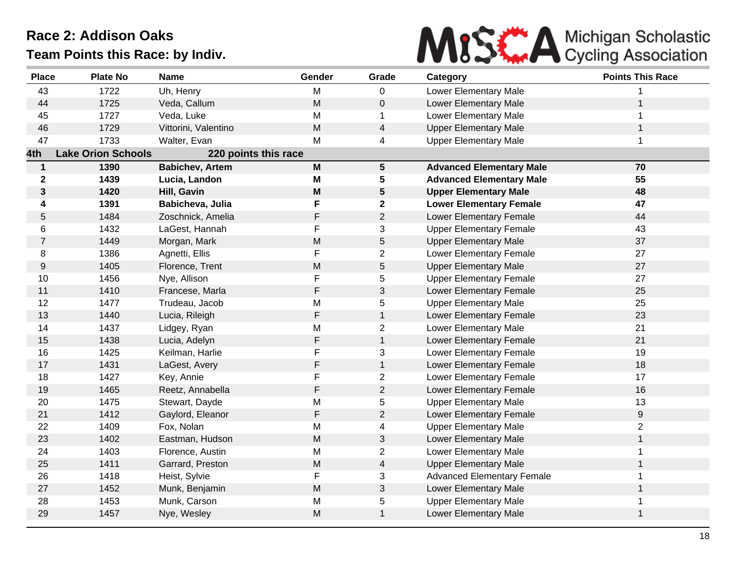

| <b>Place</b>   | <b>Plate No</b>           | <b>Name</b>            | Gender                                                                                | Grade                   | Category                          | <b>Points This Race</b> |
|----------------|---------------------------|------------------------|---------------------------------------------------------------------------------------|-------------------------|-----------------------------------|-------------------------|
| 43             | 1722                      | Uh, Henry              | M                                                                                     | 0                       | Lower Elementary Male             |                         |
| 44             | 1725                      | Veda, Callum           | M                                                                                     | 0                       | Lower Elementary Male             | $\mathbf{1}$            |
| 45             | 1727                      | Veda, Luke             | M                                                                                     | 1                       | Lower Elementary Male             | 1                       |
| 46             | 1729                      | Vittorini, Valentino   | M                                                                                     | 4                       | <b>Upper Elementary Male</b>      | $\mathbf{1}$            |
| 47             | 1733                      | Walter, Evan           | M                                                                                     | 4                       | <b>Upper Elementary Male</b>      | 1                       |
| 4th            | <b>Lake Orion Schools</b> | 220 points this race   |                                                                                       |                         |                                   |                         |
| $\mathbf 1$    | 1390                      | <b>Babichev, Artem</b> | $\boldsymbol{\mathsf{M}}$                                                             | $\overline{\mathbf{5}}$ | <b>Advanced Elementary Male</b>   | 70                      |
| $\mathbf 2$    | 1439                      | Lucia, Landon          | M                                                                                     | 5                       | <b>Advanced Elementary Male</b>   | 55                      |
| 3              | 1420                      | Hill, Gavin            | $\mathsf{M}% _{T}=\mathsf{M}_{T}\!\left( a,b\right) ,\ \mathsf{M}_{T}=\mathsf{M}_{T}$ | 5                       | <b>Upper Elementary Male</b>      | 48                      |
| 4              | 1391                      | Babicheva, Julia       | F                                                                                     | $\mathbf 2$             | <b>Lower Elementary Female</b>    | 47                      |
| 5              | 1484                      | Zoschnick, Amelia      | F                                                                                     | $\overline{2}$          | Lower Elementary Female           | 44                      |
| 6              | 1432                      | LaGest, Hannah         | F                                                                                     | 3                       | <b>Upper Elementary Female</b>    | 43                      |
| $\overline{7}$ | 1449                      | Morgan, Mark           | ${\sf M}$                                                                             | 5                       | <b>Upper Elementary Male</b>      | 37                      |
| 8              | 1386                      | Agnetti, Ellis         | F                                                                                     | $\overline{2}$          | Lower Elementary Female           | 27                      |
| 9              | 1405                      | Florence, Trent        | ${\sf M}$                                                                             | 5                       | <b>Upper Elementary Male</b>      | 27                      |
| 10             | 1456                      | Nye, Allison           | F                                                                                     | 5                       | <b>Upper Elementary Female</b>    | 27                      |
| 11             | 1410                      | Francese, Marla        | F                                                                                     | 3                       | Lower Elementary Female           | 25                      |
| 12             | 1477                      | Trudeau, Jacob         | M                                                                                     | 5                       | <b>Upper Elementary Male</b>      | 25                      |
| 13             | 1440                      | Lucia, Rileigh         | $\mathsf F$                                                                           | $\mathbf{1}$            | Lower Elementary Female           | 23                      |
| 14             | 1437                      | Lidgey, Ryan           | M                                                                                     | $\overline{2}$          | Lower Elementary Male             | 21                      |
| 15             | 1438                      | Lucia, Adelyn          | F                                                                                     | $\mathbf{1}$            | Lower Elementary Female           | 21                      |
| 16             | 1425                      | Keilman, Harlie        | F                                                                                     | 3                       | Lower Elementary Female           | 19                      |
| 17             | 1431                      | LaGest, Avery          | F                                                                                     | $\mathbf{1}$            | Lower Elementary Female           | 18                      |
| 18             | 1427                      | Key, Annie             | F                                                                                     | $\overline{2}$          | Lower Elementary Female           | 17                      |
| 19             | 1465                      | Reetz, Annabella       | F                                                                                     | $\overline{2}$          | Lower Elementary Female           | 16                      |
| 20             | 1475                      | Stewart, Dayde         | M                                                                                     | 5                       | <b>Upper Elementary Male</b>      | 13                      |
| 21             | 1412                      | Gaylord, Eleanor       | F                                                                                     | $\overline{c}$          | Lower Elementary Female           | 9                       |
| 22             | 1409                      | Fox, Nolan             | M                                                                                     | 4                       | <b>Upper Elementary Male</b>      | $\overline{2}$          |
| 23             | 1402                      | Eastman, Hudson        | M                                                                                     | 3                       | Lower Elementary Male             | $\mathbf{1}$            |
| 24             | 1403                      | Florence, Austin       | M                                                                                     | $\overline{2}$          | Lower Elementary Male             | $\mathbf 1$             |
| 25             | 1411                      | Garrard, Preston       | M                                                                                     | $\overline{4}$          | <b>Upper Elementary Male</b>      | $\mathbf 1$             |
| 26             | 1418                      | Heist, Sylvie          | F                                                                                     | 3                       | <b>Advanced Elementary Female</b> | $\mathbf 1$             |
| 27             | 1452                      | Munk, Benjamin         | M                                                                                     | 3                       | Lower Elementary Male             | $\mathbf{1}$            |
| 28             | 1453                      | Munk, Carson           | M                                                                                     | 5                       | <b>Upper Elementary Male</b>      | $\mathbf 1$             |
| 29             | 1457                      | Nye, Wesley            | M                                                                                     | $\mathbf{1}$            | Lower Elementary Male             | $\mathbf{1}$            |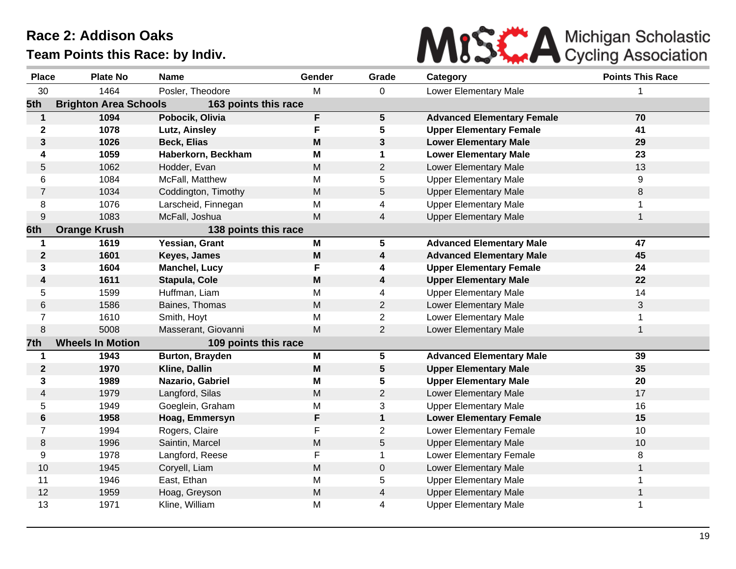MISE A Michigan Scholastic

| Team Points this Race: by Indiv. |  |  |  |  |
|----------------------------------|--|--|--|--|
|----------------------------------|--|--|--|--|

| <b>Place</b>            | <b>Plate No</b>              | <b>Name</b>          | Gender | Grade                   | Category                          | <b>Points This Race</b> |
|-------------------------|------------------------------|----------------------|--------|-------------------------|-----------------------------------|-------------------------|
| 30                      | 1464                         | Posler, Theodore     | м      | 0                       | Lower Elementary Male             | 1                       |
| 5th                     | <b>Brighton Area Schools</b> | 163 points this race |        |                         |                                   |                         |
| $\mathbf{1}$            | 1094                         | Pobocik, Olivia      | F      | 5 <sup>5</sup>          | <b>Advanced Elementary Female</b> | 70                      |
| $\mathbf 2$             | 1078                         | Lutz, Ainsley        | F      | 5                       | <b>Upper Elementary Female</b>    | 41                      |
| 3                       | 1026                         | <b>Beck, Elias</b>   | M      | 3                       | <b>Lower Elementary Male</b>      | 29                      |
| 4                       | 1059                         | Haberkorn, Beckham   | M      | 1                       | <b>Lower Elementary Male</b>      | 23                      |
| 5                       | 1062                         | Hodder, Evan         | M      | $\overline{2}$          | Lower Elementary Male             | 13                      |
| 6                       | 1084                         | McFall, Matthew      | M      | 5                       | <b>Upper Elementary Male</b>      | 9                       |
| $\overline{7}$          | 1034                         | Coddington, Timothy  | M      | 5                       | <b>Upper Elementary Male</b>      | 8                       |
| 8                       | 1076                         | Larscheid, Finnegan  | M      | 4                       | <b>Upper Elementary Male</b>      | 1                       |
| $\boldsymbol{9}$        | 1083                         | McFall, Joshua       | M      | 4                       | <b>Upper Elementary Male</b>      | 1                       |
| 6th                     | <b>Orange Krush</b>          | 138 points this race |        |                         |                                   |                         |
| 1                       | 1619                         | Yessian, Grant       | M      | 5                       | <b>Advanced Elementary Male</b>   | 47                      |
| $\mathbf 2$             | 1601                         | Keyes, James         | M      | 4                       | <b>Advanced Elementary Male</b>   | 45                      |
| 3                       | 1604                         | Manchel, Lucy        | F      | 4                       | <b>Upper Elementary Female</b>    | 24                      |
| 4                       | 1611                         | Stapula, Cole        | M      | 4                       | <b>Upper Elementary Male</b>      | 22                      |
| 5                       | 1599                         | Huffman, Liam        | M      | $\overline{4}$          | <b>Upper Elementary Male</b>      | 14                      |
| 6                       | 1586                         | Baines, Thomas       | M      | $\overline{2}$          | Lower Elementary Male             | 3                       |
| $\overline{7}$          | 1610                         | Smith, Hoyt          | M      | $\overline{c}$          | Lower Elementary Male             | 1                       |
| $\,8\,$                 | 5008                         | Masserant, Giovanni  | M      | $\overline{2}$          | Lower Elementary Male             | 1                       |
| 7th                     | <b>Wheels In Motion</b>      | 109 points this race |        |                         |                                   |                         |
| 1                       | 1943                         | Burton, Brayden      | M      | 5                       | <b>Advanced Elementary Male</b>   | 39                      |
| $\mathbf 2$             | 1970                         | Kline, Dallin        | M      | 5                       | <b>Upper Elementary Male</b>      | 35                      |
| 3                       | 1989                         | Nazario, Gabriel     | М      | 5                       | <b>Upper Elementary Male</b>      | 20                      |
| $\overline{\mathbf{4}}$ | 1979                         | Langford, Silas      | M      | $\overline{2}$          | Lower Elementary Male             | 17                      |
| 5                       | 1949                         | Goeglein, Graham     | M      | 3                       | <b>Upper Elementary Male</b>      | 16                      |
| 6                       | 1958                         | Hoag, Emmersyn       | F      | $\mathbf 1$             | <b>Lower Elementary Female</b>    | 15                      |
| $\overline{7}$          | 1994                         | Rogers, Claire       | F      | $\overline{c}$          | Lower Elementary Female           | 10                      |
| 8                       | 1996                         | Saintin, Marcel      | M      | 5                       | <b>Upper Elementary Male</b>      | 10                      |
| 9                       | 1978                         | Langford, Reese      | F      | $\mathbf 1$             | Lower Elementary Female           | 8                       |
| 10                      | 1945                         | Coryell, Liam        | M      | 0                       | Lower Elementary Male             | $\mathbf{1}$            |
| 11                      | 1946                         | East, Ethan          | M      | 5                       | <b>Upper Elementary Male</b>      | 1                       |
| 12                      | 1959                         | Hoag, Greyson        | M      | $\overline{\mathbf{4}}$ | <b>Upper Elementary Male</b>      | $\mathbf{1}$            |
| 13                      | 1971                         | Kline, William       | M      | 4                       | <b>Upper Elementary Male</b>      | 1                       |